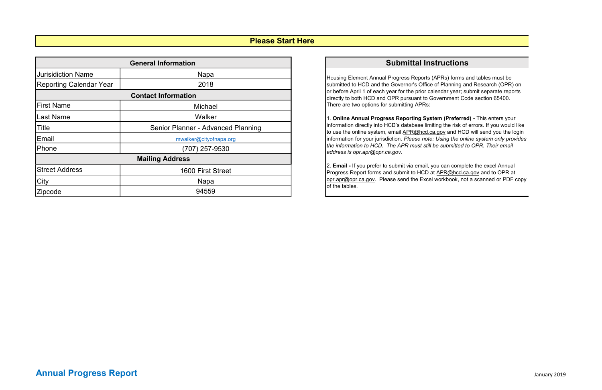## Submittal Instructions

Housing Element Annual Progress Reports (APRs) forms and tables must be submitted to HCD and the Governor's Office of Planning and Research (OPR) on or before April 1 of each year for the prior calendar year; submit separate reports directly to both HCD and OPR pursuant to Government Code section 65400. There are two options for submitting APRs:

1. Online Annual Progress Reporting System (Preferred) - This enters your information directly into HCD's database limiting the risk of errors. If you would like to use the online system, email APR@hcd.ca.gov and HCD will send you the login information for your jurisdiction. Please note: Using the online system only provides the information to HCD. The APR must still be submitted to OPR. Their email address is opr.apr@opr.ca.gov.

| <b>General Information</b>     |                                    |  |  |  |  |  |  |  |
|--------------------------------|------------------------------------|--|--|--|--|--|--|--|
| <b>Jurisidiction Name</b>      | <b>Napa</b>                        |  |  |  |  |  |  |  |
| <b>Reporting Calendar Year</b> | 2018                               |  |  |  |  |  |  |  |
| <b>Contact Information</b>     |                                    |  |  |  |  |  |  |  |
| <b>First Name</b>              | Michael                            |  |  |  |  |  |  |  |
| <b>Last Name</b>               | Walker                             |  |  |  |  |  |  |  |
| <b>Title</b>                   | Senior Planner - Advanced Planning |  |  |  |  |  |  |  |
| Email                          | mwalker@cityofnapa.org             |  |  |  |  |  |  |  |
| Phone                          | (707) 257-9530                     |  |  |  |  |  |  |  |
|                                | <b>Mailing Address</b>             |  |  |  |  |  |  |  |
| <b>Street Address</b>          | 1600 First Street                  |  |  |  |  |  |  |  |
| City                           | <b>Napa</b>                        |  |  |  |  |  |  |  |
| Zipcode                        | 94559                              |  |  |  |  |  |  |  |

2. Email - If you prefer to submit via email, you can complete the excel Annual Progress Report forms and submit to HCD at APR@hcd.ca.gov and to OPR at opr.apr@opr.ca.gov. Please send the Excel workbook, not a scanned or PDF copy of the tables.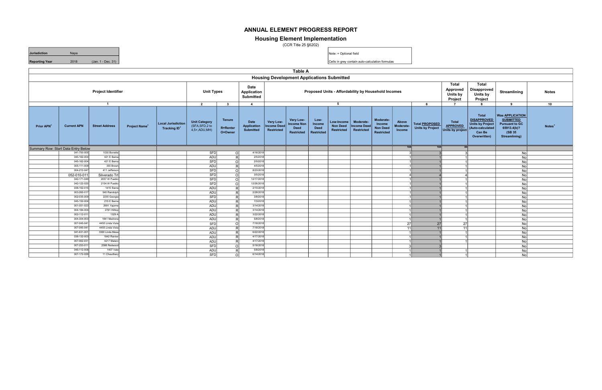|                                     | Table A                                                    |                              |                                 |                                                       |                                                     |                                             |                                                       |                                        |                                                                                        |                                                    |                                                    |                                               |                                                             |                              |                                                  |                                              |                                                                                                                    |                                                                                                                |                    |
|-------------------------------------|------------------------------------------------------------|------------------------------|---------------------------------|-------------------------------------------------------|-----------------------------------------------------|---------------------------------------------|-------------------------------------------------------|----------------------------------------|----------------------------------------------------------------------------------------|----------------------------------------------------|----------------------------------------------------|-----------------------------------------------|-------------------------------------------------------------|------------------------------|--------------------------------------------------|----------------------------------------------|--------------------------------------------------------------------------------------------------------------------|----------------------------------------------------------------------------------------------------------------|--------------------|
|                                     | <b>Housing Development Applications Submitted</b><br>Total |                              |                                 |                                                       |                                                     |                                             |                                                       |                                        |                                                                                        |                                                    |                                                    |                                               |                                                             |                              |                                                  |                                              |                                                                                                                    |                                                                                                                |                    |
|                                     |                                                            | <b>Project Identifier</b>    |                                 |                                                       | <b>Unit Types</b>                                   |                                             | Date<br>Application<br><b>Submitted</b>               |                                        | Approved<br>Proposed Units - Affordability by Household Incomes<br>Units by<br>Project |                                                    |                                                    |                                               |                                                             |                              |                                                  |                                              | <b>Total</b><br><b>Disapproved</b><br>Units by<br>Project                                                          | Streamlining                                                                                                   | <b>Notes</b>       |
|                                     |                                                            | $\overline{1}$               |                                 |                                                       | $\overline{2}$                                      | $\mathbf{3}$                                | $\overline{4}$                                        |                                        |                                                                                        |                                                    | 5                                                  |                                               |                                                             |                              | 6                                                | $\overline{7}$                               | 8                                                                                                                  | 9                                                                                                              | 10                 |
| Prior APN                           | <b>Current APN</b>                                         | <b>Street Address</b>        | <b>Project Name<sup>+</sup></b> | <b>Local Jurisdiction</b><br>Tracking ID <sup>+</sup> | Unit Category<br>(SFA,SFD,2 to<br>$4,5+$ , ADU, MH) | <b>Tenure</b><br><b>R=Renter</b><br>O=Owner | <b>Date</b><br><b>Application</b><br><b>Submitted</b> | Very Low-<br>Income Deed<br>Restricted | Very Low-<br><b>Income Non</b><br><b>Deed</b><br><b>Restricted</b>                     | Low-<br>Income<br><b>Deed</b><br><b>Restricted</b> | Low-Income<br><b>Non Deed</b><br><b>Restricted</b> | Moderate-<br>Income Deed<br><b>Restricted</b> | Moderate-<br>Income<br><b>Non Deed</b><br><b>Restricted</b> | Above<br>Moderate-<br>Income | Total <b>PROPOSED</b><br><b>Units by Project</b> | Total<br><b>APPROVED</b><br>Units by project | <b>Total</b><br><b>DISAPPROVED</b><br><b>Units by Project</b><br>(Auto-calculated<br><b>Can Be</b><br>Overwritten) | <b>Was APPLICATION</b><br><b>SUBMITTED</b><br><b>Pursuant to GC</b><br>65913.4(b)?<br>(SB 35)<br>Streamlining) | Notes <sup>+</sup> |
| Summary Row: Start Data Entry Below |                                                            |                              |                                 |                                                       |                                                     |                                             |                                                       |                                        |                                                                                        |                                                    |                                                    |                                               |                                                             | 104                          | 104                                              | 84                                           |                                                                                                                    |                                                                                                                |                    |
|                                     | 041-700-00                                                 | 1030 Borrette                |                                 |                                                       | <b>SFD</b>                                          | -ol                                         | 4/16/2018                                             |                                        |                                                                                        |                                                    |                                                    |                                               |                                                             |                              |                                                  |                                              |                                                                                                                    | No                                                                                                             |                    |
|                                     | 045-162-00                                                 | 421 E Bern                   |                                 |                                                       | ADU                                                 | R                                           | 2/5/2018                                              |                                        |                                                                                        |                                                    |                                                    |                                               |                                                             |                              |                                                  |                                              |                                                                                                                    | No                                                                                                             |                    |
|                                     | 045-162-00                                                 | 421 E Berna                  |                                 |                                                       | <b>SFD</b>                                          | ol                                          | 2/5/2018                                              |                                        |                                                                                        |                                                    |                                                    |                                               |                                                             |                              |                                                  |                                              |                                                                                                                    | No                                                                                                             |                    |
|                                     | 005-111-00                                                 | 355 Brow                     |                                 |                                                       | <b>ADU</b>                                          | -RI                                         | 4/5/2018                                              |                                        |                                                                                        |                                                    |                                                    |                                               |                                                             |                              |                                                  |                                              |                                                                                                                    | No                                                                                                             |                    |
|                                     | 004-212-04                                                 | 411 Jeffersor                |                                 |                                                       | <b>SFD</b>                                          | ol                                          | 8/23/2018                                             |                                        |                                                                                        |                                                    |                                                    |                                               |                                                             |                              |                                                  |                                              |                                                                                                                    | No                                                                                                             |                    |
|                                     | 052-010-011                                                | Silverado Trl                |                                 |                                                       | <b>SFD</b>                                          | ा                                           | 3/5/2018                                              |                                        |                                                                                        |                                                    |                                                    |                                               |                                                             |                              |                                                  |                                              |                                                                                                                    | Nol                                                                                                            |                    |
|                                     | 042-171-04                                                 | 2057 W Pueblo                |                                 |                                                       | <b>SFD</b>                                          | ol                                          | 12/17/2018                                            |                                        |                                                                                        |                                                    |                                                    |                                               |                                                             |                              |                                                  |                                              |                                                                                                                    | No                                                                                                             |                    |
|                                     | 042-122-02                                                 | 2154 W Pueble                |                                 |                                                       | <b>SFD</b>                                          | 0l                                          | 12/26/2018                                            |                                        |                                                                                        |                                                    |                                                    |                                               |                                                             |                              |                                                  |                                              |                                                                                                                    | No                                                                                                             |                    |
|                                     | 038-152-01                                                 | 1415 Sierra                  |                                 |                                                       | ADU                                                 | -RI                                         | 2/15/2018<br>2/28/2018                                |                                        |                                                                                        |                                                    |                                                    |                                               |                                                             |                              |                                                  |                                              |                                                                                                                    | No                                                                                                             |                    |
|                                     | 003-265-01                                                 | 540 Randolpl                 |                                 |                                                       | ADU                                                 | -RI                                         |                                                       |                                        |                                                                                        |                                                    |                                                    |                                               |                                                             |                              |                                                  |                                              |                                                                                                                    | No                                                                                                             |                    |
|                                     | 002-035-00                                                 | 2230 Georgia                 |                                 |                                                       | <b>SFD</b>                                          | -RI                                         | 3/8/2018                                              |                                        |                                                                                        |                                                    |                                                    |                                               |                                                             |                              |                                                  |                                              |                                                                                                                    | No                                                                                                             |                    |
|                                     | 045-152-00                                                 | 215 E Berr                   |                                 |                                                       | <b>ADU</b>                                          | -RI                                         | 7/3/2018<br>3/14/2018                                 |                                        |                                                                                        |                                                    |                                                    |                                               |                                                             |                              |                                                  |                                              |                                                                                                                    | No                                                                                                             |                    |
|                                     | 001-051-02<br>004-184-00                                   | 2691 Yajom                   |                                 |                                                       | ADU                                                 | R                                           | 3/14/2018                                             |                                        |                                                                                        |                                                    |                                                    |                                               |                                                             |                              |                                                  |                                              |                                                                                                                    | No                                                                                                             |                    |
|                                     |                                                            | 2761 Hillto                  |                                 |                                                       | ADU                                                 | -RI                                         |                                                       |                                        |                                                                                        |                                                    |                                                    |                                               |                                                             |                              |                                                  |                                              |                                                                                                                    | No                                                                                                             |                    |
|                                     | 002-112-01<br>004-304-00                                   | 1329 <i>l</i><br>1841 Madron |                                 |                                                       | ADU                                                 | R                                           | 3/22/2018<br>5/8/2018                                 |                                        |                                                                                        |                                                    |                                                    |                                               |                                                             |                              |                                                  |                                              |                                                                                                                    | No                                                                                                             |                    |
|                                     | 007-045-04                                                 | 4455 Linda Vist              |                                 |                                                       | <b>ADU</b>                                          | RI.                                         | 7/18/2018                                             |                                        |                                                                                        |                                                    |                                                    |                                               |                                                             |                              |                                                  |                                              |                                                                                                                    | No                                                                                                             |                    |
|                                     | 007-045-04                                                 | 4455 Linda Vist              |                                 |                                                       | <b>SFD</b>                                          | ol                                          | 7/18/2018                                             |                                        |                                                                                        |                                                    |                                                    |                                               |                                                             | 27                           | 27                                               | <b>27</b>                                    |                                                                                                                    | No                                                                                                             |                    |
|                                     | 041-631-00                                                 | 3360 Linda Mesa              |                                 |                                                       | ADU                                                 | R                                           | 6/22/2018                                             |                                        |                                                                                        |                                                    |                                                    |                                               |                                                             | - 11 I                       | 11                                               | 11                                           |                                                                                                                    | <b>No</b>                                                                                                      |                    |
|                                     | 038-132-00                                                 | 1642 Rainie                  |                                 |                                                       | ADU                                                 | R                                           | 4/17/2018                                             |                                        |                                                                                        |                                                    |                                                    |                                               |                                                             |                              |                                                  |                                              |                                                                                                                    | <b>No</b>                                                                                                      |                    |
|                                     | 007-062-03                                                 | 4217 Matar                   |                                 |                                                       | ADU                                                 | -RI                                         | 4/17/2018                                             |                                        |                                                                                        |                                                    |                                                    |                                               |                                                             |                              |                                                  |                                              |                                                                                                                    | No                                                                                                             |                    |
|                                     | 007-253-01                                                 | 2588 Redwood                 |                                 |                                                       | ADU                                                 | -RI                                         | 5/18/2018                                             |                                        |                                                                                        |                                                    |                                                    |                                               |                                                             |                              |                                                  |                                              |                                                                                                                    | <b>No</b>                                                                                                      |                    |
|                                     | 045-112-00                                                 | 1407 Val                     |                                 |                                                       | <b>SFD</b>                                          | ol                                          | 5/8/2018                                              |                                        |                                                                                        |                                                    |                                                    |                                               |                                                             |                              |                                                  |                                              |                                                                                                                    | <b>No</b>                                                                                                      |                    |
|                                     | 007-172-029                                                |                              |                                 |                                                       | <b>ADU</b>                                          | $\overline{R}$                              | 6/14/2018                                             |                                        |                                                                                        |                                                    |                                                    |                                               |                                                             |                              |                                                  |                                              |                                                                                                                    | <b>No</b>                                                                                                      |                    |
|                                     |                                                            | 11 Chaudhary                 |                                 |                                                       | <b>SFD</b>                                          | οl                                          |                                                       |                                        |                                                                                        |                                                    |                                                    |                                               |                                                             |                              |                                                  |                                              |                                                                                                                    | No                                                                                                             |                    |

Note: + Optional field

Cells in grey contain auto-calculation formulas

### ANNUAL ELEMENT PROGRESS REPORT

### Housing Element Implementation

(CCR Title 25 §6202)

Jurisdiction Napa Reporting Year 2018 (Jan. 1 - Dec. 31)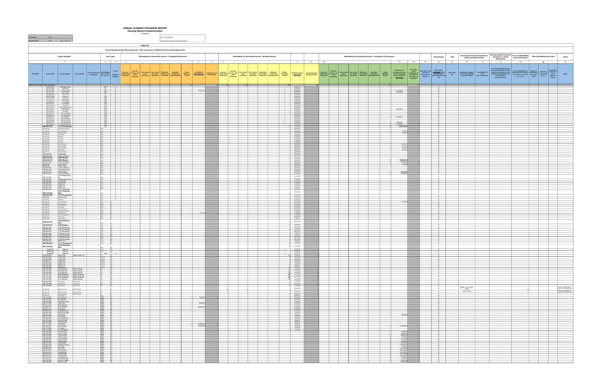|                |                                                                                                            |                                                                                                                         |                                                                                                                                                                                                                                                                                                                                                                                                                                 | ANNUAL ELEMENT PROGRESS REPORT<br><b>Housing Element Implementation</b> |            |                                                                                                                                                                                                                                      |                   |                                                                                                                                                                                                                                                        |  |                |                                                                                                         |                |                                                                                                                                                                                                                                             |                                                                |                                                                               |           |                                                                                                                                                                                                                                                                                                                                                                                                                                               |                                  |                            |                                                                      |                                                                                                                                                                                                                                                                                                                                                                                                                                                                   |                                                                                                                                                                                                                                              |                                   |                                                       |
|----------------|------------------------------------------------------------------------------------------------------------|-------------------------------------------------------------------------------------------------------------------------|---------------------------------------------------------------------------------------------------------------------------------------------------------------------------------------------------------------------------------------------------------------------------------------------------------------------------------------------------------------------------------------------------------------------------------|-------------------------------------------------------------------------|------------|--------------------------------------------------------------------------------------------------------------------------------------------------------------------------------------------------------------------------------------|-------------------|--------------------------------------------------------------------------------------------------------------------------------------------------------------------------------------------------------------------------------------------------------|--|----------------|---------------------------------------------------------------------------------------------------------|----------------|---------------------------------------------------------------------------------------------------------------------------------------------------------------------------------------------------------------------------------------------|----------------------------------------------------------------|-------------------------------------------------------------------------------|-----------|-----------------------------------------------------------------------------------------------------------------------------------------------------------------------------------------------------------------------------------------------------------------------------------------------------------------------------------------------------------------------------------------------------------------------------------------------|----------------------------------|----------------------------|----------------------------------------------------------------------|-------------------------------------------------------------------------------------------------------------------------------------------------------------------------------------------------------------------------------------------------------------------------------------------------------------------------------------------------------------------------------------------------------------------------------------------------------------------|----------------------------------------------------------------------------------------------------------------------------------------------------------------------------------------------------------------------------------------------|-----------------------------------|-------------------------------------------------------|
| Jurisdiction   | Napa                                                                                                       |                                                                                                                         |                                                                                                                                                                                                                                                                                                                                                                                                                                 |                                                                         | 25 \$6202) | Note: + Optional field                                                                                                                                                                                                               |                   |                                                                                                                                                                                                                                                        |  |                |                                                                                                         |                |                                                                                                                                                                                                                                             |                                                                |                                                                               |           |                                                                                                                                                                                                                                                                                                                                                                                                                                               |                                  |                            |                                                                      |                                                                                                                                                                                                                                                                                                                                                                                                                                                                   |                                                                                                                                                                                                                                              |                                   |                                                       |
| Reporting Year | 2018 (Jan. 1 - Dec. 31)                                                                                    |                                                                                                                         |                                                                                                                                                                                                                                                                                                                                                                                                                                 |                                                                         |            | Cels in grev contain auto-calculation formulas                                                                                                                                                                                       |                   |                                                                                                                                                                                                                                                        |  |                |                                                                                                         |                |                                                                                                                                                                                                                                             |                                                                |                                                                               |           |                                                                                                                                                                                                                                                                                                                                                                                                                                               |                                  |                            |                                                                      |                                                                                                                                                                                                                                                                                                                                                                                                                                                                   |                                                                                                                                                                                                                                              |                                   |                                                       |
|                |                                                                                                            |                                                                                                                         |                                                                                                                                                                                                                                                                                                                                                                                                                                 |                                                                         | Table A2   |                                                                                                                                                                                                                                      |                   |                                                                                                                                                                                                                                                        |  |                |                                                                                                         |                |                                                                                                                                                                                                                                             |                                                                |                                                                               |           |                                                                                                                                                                                                                                                                                                                                                                                                                                               |                                  |                            |                                                                      |                                                                                                                                                                                                                                                                                                                                                                                                                                                                   |                                                                                                                                                                                                                                              |                                   |                                                       |
|                |                                                                                                            |                                                                                                                         |                                                                                                                                                                                                                                                                                                                                                                                                                                 |                                                                         |            | Annual Building Activity Report Summary - New Construction, Entitled, Permits and Completed Units                                                                                                                                    |                   |                                                                                                                                                                                                                                                        |  |                |                                                                                                         |                |                                                                                                                                                                                                                                             |                                                                |                                                                               |           |                                                                                                                                                                                                                                                                                                                                                                                                                                               |                                  |                            |                                                                      |                                                                                                                                                                                                                                                                                                                                                                                                                                                                   |                                                                                                                                                                                                                                              |                                   |                                                       |
|                |                                                                                                            | Project Identifier                                                                                                      | <b>Unit Types</b>                                                                                                                                                                                                                                                                                                                                                                                                               |                                                                         |            | Affordability by Household Incomes - Completed Entitlement                                                                                                                                                                           |                   | Affordability by Household Incomes - Building Permits                                                                                                                                                                                                  |  |                |                                                                                                         |                |                                                                                                                                                                                                                                             | Affordability by Household Incomes - Certificates of Occupancy |                                                                               |           | Streamlining                                                                                                                                                                                                                                                                                                                                                                                                                                  | Infill                           |                            | <b>Housing with Financial Assistance</b><br>and/or Deed Restrictions | Housing without Financial Term of Affordability<br><b>Assistance or Deed</b><br><b>Restrictions</b>                                                                                                                                                                                                                                                                                                                                                               | or Deed Restriction                                                                                                                                                                                                                          | <b>Demolished/Destroyed Units</b> | <b>Notes</b>                                          |
|                |                                                                                                            | $-1$                                                                                                                    |                                                                                                                                                                                                                                                                                                                                                                                                                                 |                                                                         |            | $5 - 5$                                                                                                                                                                                                                              | $6 \t 7$          |                                                                                                                                                                                                                                                        |  |                | $8 - 1$                                                                                                 | 9 <sub>1</sub> | 10                                                                                                                                                                                                                                          |                                                                | $-11$                                                                         | 12        | 13<br>14                                                                                                                                                                                                                                                                                                                                                                                                                                      | 15                               | 16                         | 17                                                                   | 18                                                                                                                                                                                                                                                                                                                                                                                                                                                                | 19                                                                                                                                                                                                                                           | 20                                | 21                                                    |
|                |                                                                                                            |                                                                                                                         |                                                                                                                                                                                                                                                                                                                                                                                                                                 |                                                                         |            |                                                                                                                                                                                                                                      |                   |                                                                                                                                                                                                                                                        |  |                |                                                                                                         |                |                                                                                                                                                                                                                                             |                                                                | <b>Certificates of</b>                                                        |           |                                                                                                                                                                                                                                                                                                                                                                                                                                               |                                  |                            |                                                                      |                                                                                                                                                                                                                                                                                                                                                                                                                                                                   |                                                                                                                                                                                                                                              |                                   |                                                       |
| Prior APN*     | <b>Current APN</b>                                                                                         | Street Address Project Name*                                                                                            | Tenure                                                                                                                                                                                                                                                                                                                                                                                                                          | Very Low-                                                               |            | Local Jurisdiction Unit Category Tenure New House, VeryLow, Low Income Local Moderats. Moderate.<br>Tracking D' (SFA,SFD,2 to R=Renter Paceme Deed Income Non Deed Income Deed Income Deed Income Non<br>Tracking D' (SFA,DU),M-i) O |                   | Very Low-<br>Above Entitlement and Vinita Issued Necesian (VeryLow: Universite Mondarate Moderate)<br>Moderate- <u>Date Approved</u> and Income Deed Necesian Deed New Deed Income Deed Income New Moderate-<br>Income Date Approved Restricted Restri |  |                |                                                                                                         |                | Very Low-<br>Building Permits and Motivate Court Control Court Control Control Control Control Control Control Control Control Control Control Control Control Control Control Control Control Control Control Control Control Control Cont | Above<br>Moderate-<br>Income                                   | Occupancy or other<br>forms of readiness<br>(see instructions)<br>Date issued |           | $\begin{tabular}{ c c c } \hline \texttt{ $s$ of Units} & \texttt{How many of the} & \texttt{Was Project} \\ \hline \texttt{Lexillcases of} & \texttt{with sure} & \texttt{APPROVED using} \\ \hline \texttt{Occillcases of} & \texttt{inits were} & \texttt{GCE S 35 Stramullin@} \\ \hline \texttt{other forms of} & \texttt{theorem?} & \texttt{YN} \\ \hline \texttt{readinged} & \texttt{from 27} & \texttt{YN} \\ \hline \end{tabular}$ | hfill Units?<br>Y/N <sup>*</sup> |                            |                                                                      | $\begin{tabular}{c c c} \textbf{A}\textbf{seistance Program} & \textbf{For } \textbf{m}\textbf{h} \textbf{t} & \textbf{For } \textbf{m}\textbf{h} \textbf{t} & \textbf{For } \textbf{m}\textbf{h} \textbf{t} & \textbf{For } \textbf{m}\textbf{b} \textbf{t} & \textbf{For } \textbf{m}\textbf{b} \textbf{t} & \textbf{For } \textbf{m}\textbf{b} \textbf{t} & \textbf{For } \textbf{m}\textbf{b} \textbf{t} & \textbf{For } \textbf{m}\textbf{b} \textbf{t} & \$ | Term of Affordability or Number of Demolished Description<br>1 Description (deflectation (pearls of Demolished Units<br>(deflectation perpetuty Destroyed Description (defined units<br>enter 1000), Units<br>Units<br>Units<br>Units<br>Uni |                                   | Notes*                                                |
|                |                                                                                                            |                                                                                                                         |                                                                                                                                                                                                                                                                                                                                                                                                                                 |                                                                         |            |                                                                                                                                                                                                                                      |                   |                                                                                                                                                                                                                                                        |  |                |                                                                                                         |                |                                                                                                                                                                                                                                             |                                                                |                                                                               |           |                                                                                                                                                                                                                                                                                                                                                                                                                                               |                                  |                            |                                                                      |                                                                                                                                                                                                                                                                                                                                                                                                                                                                   |                                                                                                                                                                                                                                              |                                   |                                                       |
|                | Summary Row: Start Data Entry Below                                                                        |                                                                                                                         |                                                                                                                                                                                                                                                                                                                                                                                                                                 |                                                                         |            |                                                                                                                                                                                                                                      |                   |                                                                                                                                                                                                                                                        |  | 523            |                                                                                                         |                |                                                                                                                                                                                                                                             |                                                                |                                                                               |           |                                                                                                                                                                                                                                                                                                                                                                                                                                               |                                  |                            |                                                                      |                                                                                                                                                                                                                                                                                                                                                                                                                                                                   |                                                                                                                                                                                                                                              |                                   |                                                       |
|                | 038-022-036 4344 Bwww East<br>003-253-009 1608 Third<br>005-211-008 1728 Sycamore                          |                                                                                                                         | $\begin{array}{ c c c c c }\n\hline\n\text{SFD} & \text{O} & \text{O} & \text{O} \\ \hline\n\text{S+} & \text{O} & \text{O} & \text{O} & \text{O} & \text{O} \\ \hline\n\end{array}$<br>ADU R                                                                                                                                                                                                                                   |                                                                         |            | 5/21/20                                                                                                                                                                                                                              |                   |                                                                                                                                                                                                                                                        |  |                | $\frac{6/29/2018}{6/12/2018}$<br>10/22/2018                                                             |                |                                                                                                                                                                                                                                             |                                                                | 10/24/2018                                                                    |           | N                                                                                                                                                                                                                                                                                                                                                                                                                                             |                                  |                            |                                                                      |                                                                                                                                                                                                                                                                                                                                                                                                                                                                   |                                                                                                                                                                                                                                              |                                   |                                                       |
|                | 500-081-001<br>300-253-009<br>$-043-570-006$                                                               | 198 Franklin<br>1656 Third<br>106 Heun                                                                                  | ADU R<br>$\begin{array}{c c}\n5+ & 0 \\ \hline\n\text{SFD} & 0 \\ \hline\n\end{array}$                                                                                                                                                                                                                                                                                                                                          |                                                                         |            |                                                                                                                                                                                                                                      |                   |                                                                                                                                                                                                                                                        |  |                | 6/22/2018<br>6/12/2018<br>8/14/2018                                                                     |                |                                                                                                                                                                                                                                             |                                                                | 11/16/2018                                                                    |           | N                                                                                                                                                                                                                                                                                                                                                                                                                                             |                                  |                            |                                                                      |                                                                                                                                                                                                                                                                                                                                                                                                                                                                   |                                                                                                                                                                                                                                              |                                   |                                                       |
|                | $043-570-008$<br>043-570-019 125 Riordan<br>043-570-018 117 Riordan                                        | 115 Heun                                                                                                                | SFD 0<br>$SFD$ 0                                                                                                                                                                                                                                                                                                                                                                                                                |                                                                         |            |                                                                                                                                                                                                                                      |                   |                                                                                                                                                                                                                                                        |  |                | 8/14/2018<br>3/26/2018                                                                                  |                |                                                                                                                                                                                                                                             |                                                                |                                                                               |           | N                                                                                                                                                                                                                                                                                                                                                                                                                                             |                                  |                            |                                                                      |                                                                                                                                                                                                                                                                                                                                                                                                                                                                   |                                                                                                                                                                                                                                              |                                   |                                                       |
|                | 043-570-021<br>043-570-004                                                                                 | 141 Riordan<br>122 Heun                                                                                                 | $\begin{array}{ c c c c c }\n \hline & \text{SFD} & \text{O} & \text{SFD} & \text{O} & \text{SFD} & \text{O} & \text{SFD} & \text{O} & \text{SFD} & \text{O} & \text{SFD} & \text{O} & \text{SFD} & \text{O} & \text{SFD} & \text{O} & \text{SFD} & \text{O} & \text{SFD} & \text{SFD} & \text{SFD} & \text{SFD} & \text{SFD} & \text{SFD} & \text{SFD} & \text{SFD} & \text{SFD} & \text{SFD} & \text{SFD} & \text{S$<br>SFD 0 |                                                                         |            |                                                                                                                                                                                                                                      |                   |                                                                                                                                                                                                                                                        |  |                | 3/26/2018<br>3/26/2018<br>8/14/2018                                                                     |                |                                                                                                                                                                                                                                             |                                                                |                                                                               |           | N<br>N                                                                                                                                                                                                                                                                                                                                                                                                                                        |                                  |                            |                                                                      |                                                                                                                                                                                                                                                                                                                                                                                                                                                                   |                                                                                                                                                                                                                                              |                                   |                                                       |
|                | 046-122-037<br>042-470-014 2059 Morlan<br>043-570-001 131 Heun                                             | 1232 Andersen Rch                                                                                                       | SFD 0<br>$\begin{array}{c c c c} \text{SFD} & \text{O} & \text{O} & \text{O} & \text{O} & \text{O} & \text{O} & \text{O} & \text{O} & \text{O} & \text{O} & \text{O} & \text{O} & \text{O} & \text{O} & \text{O} & \text{O} & \text{O} & \text{O} & \text{O} & \text{O} & \text{O} & \text{O} & \text{O} & \text{O} & \text{O} & \text{O} & \text{O} & \text{O} & \text{O} & \text{O} & \text{O} & \text{O} & \text{O} & \text$ |                                                                         |            |                                                                                                                                                                                                                                      |                   |                                                                                                                                                                                                                                                        |  |                | 8/22/2018<br>4/25/2018<br>8/14/2018                                                                     |                |                                                                                                                                                                                                                                             |                                                                | 9/25/2018                                                                     |           | N<br>$\frac{N}{N}$<br>$\overline{N}$                                                                                                                                                                                                                                                                                                                                                                                                          |                                  |                            |                                                                      |                                                                                                                                                                                                                                                                                                                                                                                                                                                                   |                                                                                                                                                                                                                                              |                                   |                                                       |
|                | 042-470-011<br>046-083-040 1132 Pennyroyal<br>003-265-017 540 Randolph                                     | 1131 La Pintura                                                                                                         | SFD 0<br>SFD 0<br>SFD 0                                                                                                                                                                                                                                                                                                                                                                                                         |                                                                         |            |                                                                                                                                                                                                                                      |                   |                                                                                                                                                                                                                                                        |  |                | 4/25/2018<br>2/23/2018<br>5/15/2018                                                                     |                |                                                                                                                                                                                                                                             |                                                                | 10/4/2018                                                                     |           | N                                                                                                                                                                                                                                                                                                                                                                                                                                             |                                  |                            |                                                                      |                                                                                                                                                                                                                                                                                                                                                                                                                                                                   |                                                                                                                                                                                                                                              |                                   |                                                       |
|                | 046-083-041 1138 Pennyroyal<br>046-083-038 1120 Pennwoval                                                  |                                                                                                                         | SFD 0<br>SFD 0                                                                                                                                                                                                                                                                                                                                                                                                                  |                                                                         |            |                                                                                                                                                                                                                                      |                   |                                                                                                                                                                                                                                                        |  |                | 2/23/2018<br>2/23/2018                                                                                  |                |                                                                                                                                                                                                                                             |                                                                |                                                                               |           | N<br>N<br>N                                                                                                                                                                                                                                                                                                                                                                                                                                   |                                  |                            |                                                                      |                                                                                                                                                                                                                                                                                                                                                                                                                                                                   |                                                                                                                                                                                                                                              |                                   |                                                       |
|                | 046-083-051 1135 Pennyroyal<br>046-083-049<br>046-083-053                                                  | 23 Pennyroyal<br>1147 Pennyroyal                                                                                        | $\begin{array}{c cc}\n\text{SFD} & 0 \\ \text{SFD} & 0\n\end{array}$<br>SFD <sub>1</sub>                                                                                                                                                                                                                                                                                                                                        | $\circ$                                                                 |            |                                                                                                                                                                                                                                      | <b>STATISTICS</b> |                                                                                                                                                                                                                                                        |  |                | 2/23/2018<br>2/23/2018<br>2/23/2018                                                                     |                |                                                                                                                                                                                                                                             |                                                                | 12/6/2019<br>11/16/2018<br>12/27/2018                                         |           | N<br>N                                                                                                                                                                                                                                                                                                                                                                                                                                        |                                  |                            |                                                                      |                                                                                                                                                                                                                                                                                                                                                                                                                                                                   |                                                                                                                                                                                                                                              |                                   |                                                       |
|                | 046-083-060<br>046-083-052<br>042-470-007                                                                  | 1246 Andersen Ranch<br>1141 Pennyroyal                                                                                  | $8FD$ 0<br>$\overline{\phantom{a}}$                                                                                                                                                                                                                                                                                                                                                                                             | $\circ$                                                                 |            |                                                                                                                                                                                                                                      |                   |                                                                                                                                                                                                                                                        |  |                | 8/22/2018<br>2/23/2018<br>1 4/25/2018                                                                   |                |                                                                                                                                                                                                                                             |                                                                | 12/6/2<br>12/28/2018                                                          |           | N<br>N<br>N                                                                                                                                                                                                                                                                                                                                                                                                                                   |                                  |                            |                                                                      |                                                                                                                                                                                                                                                                                                                                                                                                                                                                   |                                                                                                                                                                                                                                              |                                   |                                                       |
|                | 043-570-020<br>043-570-002                                                                                 | 1155 La Pintura<br>133 Riordan<br>138 Heun                                                                              | SFD<br>$\overline{\phantom{a}}$<br>$\overline{\phantom{a}}$                                                                                                                                                                                                                                                                                                                                                                     |                                                                         |            |                                                                                                                                                                                                                                      |                   |                                                                                                                                                                                                                                                        |  |                | $1$ 3/26/2018<br>8/14/2018                                                                              |                |                                                                                                                                                                                                                                             |                                                                |                                                                               |           | N<br>N                                                                                                                                                                                                                                                                                                                                                                                                                                        |                                  |                            |                                                                      |                                                                                                                                                                                                                                                                                                                                                                                                                                                                   |                                                                                                                                                                                                                                              |                                   |                                                       |
|                | 043-570-003<br>043-570-005<br>043-570-009                                                                  | 130 Heun<br>114 Hean<br>123 Hean<br>1128 Le Pintze                                                                      |                                                                                                                                                                                                                                                                                                                                                                                                                                 | $\sim$<br>$\circ$<br>$\overline{\phantom{0}}$                           |            |                                                                                                                                                                                                                                      |                   |                                                                                                                                                                                                                                                        |  |                | 8/14/2018<br>8/14/2018<br>$1$ 8/14/2018                                                                 |                |                                                                                                                                                                                                                                             |                                                                |                                                                               |           | $\overline{N}$<br>N<br>$\mathbb{R}$                                                                                                                                                                                                                                                                                                                                                                                                           |                                  |                            |                                                                      |                                                                                                                                                                                                                                                                                                                                                                                                                                                                   |                                                                                                                                                                                                                                              |                                   |                                                       |
|                | 042-470-005<br>042-470-008<br>042-470-004 1134 La Pintura                                                  | 1122 La Pintura                                                                                                         | SFD<br>$\overline{\phantom{a}}$                                                                                                                                                                                                                                                                                                                                                                                                 | $\circ$<br>$\overline{\phantom{a}}$                                     |            |                                                                                                                                                                                                                                      |                   |                                                                                                                                                                                                                                                        |  |                | 4/25/2018<br>1 4/25/2018<br>$1$ 4/25/2018                                                               |                |                                                                                                                                                                                                                                             |                                                                | 10/23/2<br>10/23/2018<br>10/26/2018                                           |           | N<br>N                                                                                                                                                                                                                                                                                                                                                                                                                                        |                                  |                            |                                                                      |                                                                                                                                                                                                                                                                                                                                                                                                                                                                   |                                                                                                                                                                                                                                              |                                   |                                                       |
|                | 042-470-017<br>042-470-001<br>046-122-033 1169 Wyatt                                                       | 2071 Mortan<br>1152 La Pintara                                                                                          | $\begin{array}{ccc} \cdot & \circ & \cdot \end{array}$                                                                                                                                                                                                                                                                                                                                                                          | $\circ$ $\qquad$<br>$\circ$                                             |            |                                                                                                                                                                                                                                      |                   |                                                                                                                                                                                                                                                        |  |                | 4/25/2018<br>4/25/2018<br>8/22/2018                                                                     |                |                                                                                                                                                                                                                                             |                                                                | 10/3/2018                                                                     |           | N<br>N<br>N                                                                                                                                                                                                                                                                                                                                                                                                                                   |                                  |                            |                                                                      |                                                                                                                                                                                                                                                                                                                                                                                                                                                                   |                                                                                                                                                                                                                                              |                                   |                                                       |
|                | 042-470-009<br>042-470-016                                                                                 | 1143 La Pintura<br>2067 Morlan                                                                                          |                                                                                                                                                                                                                                                                                                                                                                                                                                 | $\circ$<br>$\circ$                                                      |            |                                                                                                                                                                                                                                      |                   |                                                                                                                                                                                                                                                        |  |                | 4/25/2018<br>4/25/2018                                                                                  |                |                                                                                                                                                                                                                                             |                                                                |                                                                               |           | N<br>$\frac{N}{N}$                                                                                                                                                                                                                                                                                                                                                                                                                            |                                  |                            |                                                                      |                                                                                                                                                                                                                                                                                                                                                                                                                                                                   |                                                                                                                                                                                                                                              |                                   |                                                       |
|                | 042-470-013 2055 Morlan<br>042-470-003 1140 La Pintura<br>042-470-002                                      | 1146 La Pintura                                                                                                         | SFD                                                                                                                                                                                                                                                                                                                                                                                                                             | $\circ$<br>$\circ$<br>$\overline{\circ}$ +                              |            |                                                                                                                                                                                                                                      |                   |                                                                                                                                                                                                                                                        |  |                | 4/25/2018<br>$1$ 4/25/2018<br>4/25/2018                                                                 |                |                                                                                                                                                                                                                                             |                                                                | 9/25/2018<br>11/6/2018<br>11/8/2018                                           |           | N<br>N                                                                                                                                                                                                                                                                                                                                                                                                                                        |                                  |                            |                                                                      |                                                                                                                                                                                                                                                                                                                                                                                                                                                                   |                                                                                                                                                                                                                                              |                                   |                                                       |
|                | 042-470-008<br>042-470-001<br>046-083-039                                                                  | 1149 La Pintura<br>1137 La Pintura<br>1126 Pennyroval                                                                   |                                                                                                                                                                                                                                                                                                                                                                                                                                 | $\circ$<br>$\overline{\phantom{a}}$                                     |            |                                                                                                                                                                                                                                      |                   |                                                                                                                                                                                                                                                        |  |                | 4/25/2018<br>$\begin{array}{cccc}\n1 & 4/25/2018 \\ 1 & 2/23/2018\n\end{array}$                         |                |                                                                                                                                                                                                                                             |                                                                |                                                                               |           | N<br>N<br>N                                                                                                                                                                                                                                                                                                                                                                                                                                   |                                  |                            |                                                                      |                                                                                                                                                                                                                                                                                                                                                                                                                                                                   |                                                                                                                                                                                                                                              |                                   |                                                       |
|                | 042-470-015 2063 Morlan<br>042-470-012                                                                     | 1125 La Pintura<br>1212 Peppergrass                                                                                     | $\frac{1}{\circ}$                                                                                                                                                                                                                                                                                                                                                                                                               | $\circ$                                                                 |            |                                                                                                                                                                                                                                      | _                 |                                                                                                                                                                                                                                                        |  |                | $1$ 4/25/2018<br>4/25/2018                                                                              |                |                                                                                                                                                                                                                                             |                                                                | 9/26/2018<br>12/5/201                                                         |           | N<br>N                                                                                                                                                                                                                                                                                                                                                                                                                                        |                                  |                            |                                                                      |                                                                                                                                                                                                                                                                                                                                                                                                                                                                   |                                                                                                                                                                                                                                              |                                   |                                                       |
|                | 046-122-035<br>046-122-041<br>046-122-032                                                                  | St<br>1208 Andersen Rch                                                                                                 |                                                                                                                                                                                                                                                                                                                                                                                                                                 | $\circ$<br>$\circ$                                                      |            |                                                                                                                                                                                                                                      |                   |                                                                                                                                                                                                                                                        |  |                | 9/14/2018<br>9/14/2018                                                                                  |                |                                                                                                                                                                                                                                             |                                                                |                                                                               |           | $\mathbb N$<br>N                                                                                                                                                                                                                                                                                                                                                                                                                              |                                  |                            |                                                                      |                                                                                                                                                                                                                                                                                                                                                                                                                                                                   |                                                                                                                                                                                                                                              |                                   |                                                       |
|                | 042-460-007<br>042-460-004 2596 First                                                                      | 1163 Wyatt<br>2596 First                                                                                                |                                                                                                                                                                                                                                                                                                                                                                                                                                 | $\overline{\phantom{0}}$<br>$\overline{\phantom{0}}$<br>$\circ$         |            |                                                                                                                                                                                                                                      |                   |                                                                                                                                                                                                                                                        |  |                | 9/14/2018<br>7/24/2018<br>5/2/2018                                                                      |                |                                                                                                                                                                                                                                             |                                                                |                                                                               |           | N<br>N<br>N                                                                                                                                                                                                                                                                                                                                                                                                                                   |                                  |                            |                                                                      |                                                                                                                                                                                                                                                                                                                                                                                                                                                                   |                                                                                                                                                                                                                                              |                                   |                                                       |
|                | 042-460-001<br>046-083-058                                                                                 | 2598 First<br>1177 Pennyroval<br>1211 Andersen                                                                          |                                                                                                                                                                                                                                                                                                                                                                                                                                 | $\frac{0}{2}$<br>$\circ$<br>$\circ$                                     |            |                                                                                                                                                                                                                                      |                   |                                                                                                                                                                                                                                                        |  |                | 7/24/2018<br>8/22/2018<br>9/14/2018                                                                     |                |                                                                                                                                                                                                                                             |                                                                |                                                                               |           | N<br>N<br>$\mathbb N$                                                                                                                                                                                                                                                                                                                                                                                                                         |                                  |                            |                                                                      |                                                                                                                                                                                                                                                                                                                                                                                                                                                                   |                                                                                                                                                                                                                                              |                                   |                                                       |
|                | 046-122-036<br>046-083-059                                                                                 | Rch<br>1183 Pennyroyal                                                                                                  |                                                                                                                                                                                                                                                                                                                                                                                                                                 | $\circ$                                                                 |            |                                                                                                                                                                                                                                      |                   |                                                                                                                                                                                                                                                        |  |                | 8/22/2018                                                                                               |                |                                                                                                                                                                                                                                             |                                                                |                                                                               |           | N                                                                                                                                                                                                                                                                                                                                                                                                                                             |                                  |                            |                                                                      |                                                                                                                                                                                                                                                                                                                                                                                                                                                                   |                                                                                                                                                                                                                                              |                                   |                                                       |
|                | 045-420-004<br>042-460-012<br>046-083-050                                                                  | 455 Monte Vista<br>2598 First<br>1129 Pennyroyal                                                                        |                                                                                                                                                                                                                                                                                                                                                                                                                                 | $\circ$<br>$\circ$                                                      |            |                                                                                                                                                                                                                                      |                   |                                                                                                                                                                                                                                                        |  |                | 11/14/2018<br>7/24/2018<br>2/23/2018                                                                    |                |                                                                                                                                                                                                                                             |                                                                |                                                                               |           | N<br>N<br>N                                                                                                                                                                                                                                                                                                                                                                                                                                   |                                  |                            |                                                                      |                                                                                                                                                                                                                                                                                                                                                                                                                                                                   |                                                                                                                                                                                                                                              |                                   |                                                       |
|                | 044-070-028<br>041-050-024                                                                                 | 1127 La Homa<br>3101 Redwood<br>1157 Wyatt                                                                              | ADU                                                                                                                                                                                                                                                                                                                                                                                                                             |                                                                         |            |                                                                                                                                                                                                                                      | __                |                                                                                                                                                                                                                                                        |  |                | 1 5/23/2018<br>8/17/2018<br>9/14/2018                                                                   |                |                                                                                                                                                                                                                                             |                                                                |                                                                               |           | $\overline{N}$<br>N<br>N                                                                                                                                                                                                                                                                                                                                                                                                                      |                                  |                            |                                                                      |                                                                                                                                                                                                                                                                                                                                                                                                                                                                   |                                                                                                                                                                                                                                              |                                   |                                                       |
|                | 046-083-048<br>046-122-038<br>038-302-019                                                                  | 1174 Pennyroyal<br>1226 Andersen Roh                                                                                    | SFD                                                                                                                                                                                                                                                                                                                                                                                                                             |                                                                         |            | 8/17                                                                                                                                                                                                                                 |                   |                                                                                                                                                                                                                                                        |  |                | 8/22/2018<br>9/14/2018<br>11/8/2018                                                                     |                |                                                                                                                                                                                                                                             |                                                                |                                                                               |           | N                                                                                                                                                                                                                                                                                                                                                                                                                                             |                                  |                            |                                                                      |                                                                                                                                                                                                                                                                                                                                                                                                                                                                   |                                                                                                                                                                                                                                              |                                   |                                                       |
|                | 046-122-040<br>046-122-034<br>046-083-046                                                                  | 1222 Rubicon<br>1214 Andersen Rich<br>1175 Wyatt<br>1168 Pennyroyal                                                     | SFD                                                                                                                                                                                                                                                                                                                                                                                                                             |                                                                         |            |                                                                                                                                                                                                                                      |                   |                                                                                                                                                                                                                                                        |  |                | 9/14/2018<br>1 8/22/2018<br>4/3/2018                                                                    |                |                                                                                                                                                                                                                                             |                                                                |                                                                               |           | N<br>N<br>N                                                                                                                                                                                                                                                                                                                                                                                                                                   |                                  |                            |                                                                      |                                                                                                                                                                                                                                                                                                                                                                                                                                                                   |                                                                                                                                                                                                                                              |                                   |                                                       |
|                | 046-083-061                                                                                                | 1238 Andersen<br>Rch                                                                                                    |                                                                                                                                                                                                                                                                                                                                                                                                                                 |                                                                         |            |                                                                                                                                                                                                                                      |                   |                                                                                                                                                                                                                                                        |  |                | 8/22/2018                                                                                               |                |                                                                                                                                                                                                                                             |                                                                |                                                                               |           | N                                                                                                                                                                                                                                                                                                                                                                                                                                             |                                  |                            |                                                                      |                                                                                                                                                                                                                                                                                                                                                                                                                                                                   |                                                                                                                                                                                                                                              |                                   |                                                       |
|                | 043-570-017<br>046-083-044<br>046-083-042                                                                  | 109 Riordan<br>1156 Pennyroyal<br>1144 Pennyroval                                                                       | SFD<br><b>SFD</b><br>SFD                                                                                                                                                                                                                                                                                                                                                                                                        |                                                                         |            |                                                                                                                                                                                                                                      |                   |                                                                                                                                                                                                                                                        |  |                | 1 3/26/2018<br>1 6/21/2018<br>$1 - 4/4/2018$                                                            |                |                                                                                                                                                                                                                                             |                                                                |                                                                               |           | $\mathbb N$<br>N<br>N                                                                                                                                                                                                                                                                                                                                                                                                                         |                                  |                            |                                                                      |                                                                                                                                                                                                                                                                                                                                                                                                                                                                   |                                                                                                                                                                                                                                              |                                   |                                                       |
|                | 046-083-054<br>046-083-056                                                                                 | 1153 Pennvroval<br>1165 Pennyroval                                                                                      | SFD.                                                                                                                                                                                                                                                                                                                                                                                                                            |                                                                         |            |                                                                                                                                                                                                                                      |                   |                                                                                                                                                                                                                                                        |  |                | 6/21/2018<br>4/3/2018                                                                                   |                |                                                                                                                                                                                                                                             |                                                                |                                                                               |           | N<br>N                                                                                                                                                                                                                                                                                                                                                                                                                                        |                                  |                            |                                                                      |                                                                                                                                                                                                                                                                                                                                                                                                                                                                   |                                                                                                                                                                                                                                              |                                   |                                                       |
|                | 046-083-045<br>046-083-043<br>046-083-055                                                                  | 1162 Pennyroyal<br>1150 Pennyroyal<br>1159 Pennyroval                                                                   | SFD                                                                                                                                                                                                                                                                                                                                                                                                                             |                                                                         |            |                                                                                                                                                                                                                                      |                   |                                                                                                                                                                                                                                                        |  |                | 4/3/2018<br>6/21/2018<br>1 6/21/2018                                                                    |                |                                                                                                                                                                                                                                             |                                                                |                                                                               |           | N<br>N                                                                                                                                                                                                                                                                                                                                                                                                                                        |                                  |                            |                                                                      |                                                                                                                                                                                                                                                                                                                                                                                                                                                                   |                                                                                                                                                                                                                                              |                                   |                                                       |
|                | 042-460-00<br>046-083-057                                                                                  | 2594 First<br>1171 Pennyroyal<br>1220 Andersen                                                                          | SFD                                                                                                                                                                                                                                                                                                                                                                                                                             |                                                                         |            |                                                                                                                                                                                                                                      |                   |                                                                                                                                                                                                                                                        |  |                | 5/2/2018<br>4/3/2018                                                                                    |                |                                                                                                                                                                                                                                             |                                                                |                                                                               |           | N                                                                                                                                                                                                                                                                                                                                                                                                                                             |                                  |                            |                                                                      |                                                                                                                                                                                                                                                                                                                                                                                                                                                                   |                                                                                                                                                                                                                                              |                                   |                                                       |
|                | 046-122-039<br>042-460-003<br>042-460-009 2506 First<br>042-460-009 2506 First                             | Rch                                                                                                                     |                                                                                                                                                                                                                                                                                                                                                                                                                                 |                                                                         |            |                                                                                                                                                                                                                                      |                   |                                                                                                                                                                                                                                                        |  |                | 9/14/2018<br>1 5/2/2018                                                                                 |                |                                                                                                                                                                                                                                             |                                                                |                                                                               |           | $\mathbb N$<br>N<br>N                                                                                                                                                                                                                                                                                                                                                                                                                         |                                  |                            |                                                                      |                                                                                                                                                                                                                                                                                                                                                                                                                                                                   |                                                                                                                                                                                                                                              |                                   |                                                       |
|                | 042-320-005 2614 First                                                                                     | 042-460-009 2596 First<br>Napa Creek Vlg                                                                                | SFD<br>\$50                                                                                                                                                                                                                                                                                                                                                                                                                     | $\circ$                                                                 |            |                                                                                                                                                                                                                                      |                   |                                                                                                                                                                                                                                                        |  | $\overline{1}$ | 17/24/2018<br>5/2/2018<br>30 4/5/2018                                                                   |                |                                                                                                                                                                                                                                             |                                                                |                                                                               |           | N<br>N                                                                                                                                                                                                                                                                                                                                                                                                                                        |                                  |                            |                                                                      |                                                                                                                                                                                                                                                                                                                                                                                                                                                                   |                                                                                                                                                                                                                                              |                                   |                                                       |
|                | 003-253-009 1730 Third<br>003-253-009 1716 Third<br>042-460-011                                            | 2598 First                                                                                                              | 2 to 4<br>2 to 4<br>2 to 4                                                                                                                                                                                                                                                                                                                                                                                                      |                                                                         |            |                                                                                                                                                                                                                                      |                   |                                                                                                                                                                                                                                                        |  |                | 3 3/20/2018<br>3 3/20/2018<br>$\begin{array}{c c}\n2 & 7/24/2018 \\ \hline\n2 & 7/24/2018\n\end{array}$ |                |                                                                                                                                                                                                                                             |                                                                |                                                                               |           | N<br>N<br>$\overline{N}$                                                                                                                                                                                                                                                                                                                                                                                                                      |                                  |                            |                                                                      |                                                                                                                                                                                                                                                                                                                                                                                                                                                                   |                                                                                                                                                                                                                                              |                                   |                                                       |
|                | 042-460-008 2596 First<br>042-460-002 2594 First<br>042-460-005                                            | 2596 First                                                                                                              | $\frac{2 \text{ to } 4}{2 \text{ to } 4}$<br>2 to 4                                                                                                                                                                                                                                                                                                                                                                             |                                                                         |            |                                                                                                                                                                                                                                      | __                |                                                                                                                                                                                                                                                        |  |                | 2 5/2/2018<br>2 5/2/2018                                                                                |                |                                                                                                                                                                                                                                             |                                                                |                                                                               |           | N<br>N<br>N                                                                                                                                                                                                                                                                                                                                                                                                                                   |                                  |                            |                                                                      |                                                                                                                                                                                                                                                                                                                                                                                                                                                                   |                                                                                                                                                                                                                                              |                                   |                                                       |
|                |                                                                                                            | 046-190-068 407 Peatman Vista Tulocav<br>046-190-068 423 Peatman Vista Tulocav<br>046-190-068 419 Peatman Vista Tulocav |                                                                                                                                                                                                                                                                                                                                                                                                                                 |                                                                         |            |                                                                                                                                                                                                                                      |                   |                                                                                                                                                                                                                                                        |  |                | $\begin{array}{r l} 31 & 4/17/2018 \\ \hline 20 & 4/17/2018 \\ \hline 20 & 4/17/2018 \\ \end{array}$    |                |                                                                                                                                                                                                                                             |                                                                |                                                                               |           | N<br>N<br>N                                                                                                                                                                                                                                                                                                                                                                                                                                   |                                  |                            |                                                                      |                                                                                                                                                                                                                                                                                                                                                                                                                                                                   |                                                                                                                                                                                                                                              |                                   |                                                       |
|                |                                                                                                            | 046-190-068 469 Peatman Vista Tulocav<br>046-190-068 477 Peatman Vista Tulocay                                          | I 5+                                                                                                                                                                                                                                                                                                                                                                                                                            |                                                                         |            |                                                                                                                                                                                                                                      |                   |                                                                                                                                                                                                                                                        |  |                | 46 4/17/2018<br>46 4/17/2018                                                                            |                |                                                                                                                                                                                                                                             |                                                                |                                                                               |           | $\frac{N}{N}$                                                                                                                                                                                                                                                                                                                                                                                                                                 |                                  |                            |                                                                      |                                                                                                                                                                                                                                                                                                                                                                                                                                                                   |                                                                                                                                                                                                                                              |                                   |                                                       |
|                | 046-190-068 415 Peatron<br>046-190-068 487 Peatman                                                         | 046-190-068 411 Peatman Vista Tulocay<br>Vista Tulocay<br>Vista Tulocay                                                 |                                                                                                                                                                                                                                                                                                                                                                                                                                 |                                                                         |            |                                                                                                                                                                                                                                      |                   |                                                                                                                                                                                                                                                        |  |                | $20$ $4/17/2018$<br>17 4/17/2018<br>41 4/17/2018                                                        |                |                                                                                                                                                                                                                                             |                                                                |                                                                               |           | $\frac{N}{N}$<br>N                                                                                                                                                                                                                                                                                                                                                                                                                            |                                  |                            |                                                                      |                                                                                                                                                                                                                                                                                                                                                                                                                                                                   |                                                                                                                                                                                                                                              |                                   |                                                       |
|                | 046-190-068 483 Peatrsen<br>046-190-052                                                                    | Vista Tulocay<br>TBD Sescol Ave<br>Stocklard West                                                                       |                                                                                                                                                                                                                                                                                                                                                                                                                                 |                                                                         |            |                                                                                                                                                                                                                                      |                   |                                                                                                                                                                                                                                                        |  |                | 41 4/17/2018<br>3/29/2018                                                                               |                |                                                                                                                                                                                                                                             |                                                                |                                                                               |           | N<br>N                                                                                                                                                                                                                                                                                                                                                                                                                                        |                                  | CDBG, LHTF, LIHTC,<br>PBSB |                                                                      |                                                                                                                                                                                                                                                                                                                                                                                                                                                                   |                                                                                                                                                                                                                                              |                                   | Subject to RHNA Sharing<br>Agreement with Napa Count  |
|                | 046-011-018<br>038-021-012                                                                                 | 535 Coombaville<br>Napa Courtyards<br>4325 Byway East<br>Byway East Apts                                                |                                                                                                                                                                                                                                                                                                                                                                                                                                 |                                                                         |            |                                                                                                                                                                                                                                      |                   |                                                                                                                                                                                                                                                        |  |                | 4/2/2018<br>10 10/26/2018                                                                               |                |                                                                                                                                                                                                                                             |                                                                |                                                                               |           | N<br>$\frac{N}{N}$                                                                                                                                                                                                                                                                                                                                                                                                                            |                                  | LIHTC, LHTF                |                                                                      |                                                                                                                                                                                                                                                                                                                                                                                                                                                                   |                                                                                                                                                                                                                                              |                                   | Subject to RHNA Sharing<br>Agreement with Napa County |
|                | $\frac{004-304-003}{045-152-004}$<br>045-412-005 31 Pascale                                                | 1841 Madema<br>1841 Madema<br>215 E Berna                                                                               |                                                                                                                                                                                                                                                                                                                                                                                                                                 |                                                                         |            | 7/3/2018                                                                                                                                                                                                                             |                   |                                                                                                                                                                                                                                                        |  |                | 1 9/24/2018<br>10/29/2018                                                                               |                |                                                                                                                                                                                                                                             |                                                                |                                                                               |           | N<br>N<br>N                                                                                                                                                                                                                                                                                                                                                                                                                                   |                                  |                            |                                                                      |                                                                                                                                                                                                                                                                                                                                                                                                                                                                   |                                                                                                                                                                                                                                              |                                   |                                                       |
|                | 050-030-030 1249 Tall Grass<br>045-112-008 1407 Vale<br>004-212-025                                        | 405 Jefferson                                                                                                           | SFD<br>SFD<br>ADU<br>ADU                                                                                                                                                                                                                                                                                                                                                                                                        |                                                                         |            | 5/8/2018                                                                                                                                                                                                                             |                   |                                                                                                                                                                                                                                                        |  |                | $\begin{array}{c c} 1 & 5/31/2018 \\ 1 & 1/29/2018 \end{array}$<br>1 12/3/2018<br>8/17/2018             |                |                                                                                                                                                                                                                                             |                                                                |                                                                               |           | N<br>N                                                                                                                                                                                                                                                                                                                                                                                                                                        |                                  |                            |                                                                      |                                                                                                                                                                                                                                                                                                                                                                                                                                                                   |                                                                                                                                                                                                                                              |                                   |                                                       |
|                | 038-265-007<br>004-211-014 2130 Pine<br>052-090-016                                                        | 1541 Shasta                                                                                                             | ADU<br>ADU                                                                                                                                                                                                                                                                                                                                                                                                                      |                                                                         |            | 6/27/2018                                                                                                                                                                                                                            |                   |                                                                                                                                                                                                                                                        |  |                | $1$ 12/3/2018<br>1 11/29/2018<br>11/2/2018                                                              |                |                                                                                                                                                                                                                                             |                                                                |                                                                               |           | N<br>N<br>N                                                                                                                                                                                                                                                                                                                                                                                                                                   |                                  |                            |                                                                      |                                                                                                                                                                                                                                                                                                                                                                                                                                                                   |                                                                                                                                                                                                                                              |                                   |                                                       |
|                | 042-231-002<br>006-254-019                                                                                 | 275 Stonecrest<br>2076 Lone Oak<br>60 Linnell                                                                           | ADU<br>ADU<br>ADU                                                                                                                                                                                                                                                                                                                                                                                                               |                                                                         |            |                                                                                                                                                                                                                                      |                   |                                                                                                                                                                                                                                                        |  |                | $\begin{array}{c c} 1 & 2/1/2018 \\ 1 & 1/26/2018 \\ 1 & 10/5/2018 \\ \end{array}$                      |                |                                                                                                                                                                                                                                             |                                                                | 6/6/2018                                                                      |           | N<br>N                                                                                                                                                                                                                                                                                                                                                                                                                                        |                                  |                            |                                                                      |                                                                                                                                                                                                                                                                                                                                                                                                                                                                   |                                                                                                                                                                                                                                              |                                   |                                                       |
|                | 045-412-004 27 Pascale<br>001-304-005<br>042-172-042<br>042-300-005                                        | 1413 Sherman<br>2072 W Park<br>1036 Easum                                                                               | SFD<br>ADU<br>ADU<br>ADU                                                                                                                                                                                                                                                                                                                                                                                                        |                                                                         |            |                                                                                                                                                                                                                                      |                   |                                                                                                                                                                                                                                                        |  |                | 5/2/2018<br>4/6/2018                                                                                    |                |                                                                                                                                                                                                                                             |                                                                |                                                                               |           | $\mathbb N$<br>N<br>N                                                                                                                                                                                                                                                                                                                                                                                                                         |                                  |                            |                                                                      |                                                                                                                                                                                                                                                                                                                                                                                                                                                                   |                                                                                                                                                                                                                                              |                                   |                                                       |
|                | 005-111-009                                                                                                | 355 Brown                                                                                                               |                                                                                                                                                                                                                                                                                                                                                                                                                                 |                                                                         |            | 5/25/2018<br>4/17/2018                                                                                                                                                                                                               |                   |                                                                                                                                                                                                                                                        |  |                | 9/6/2018<br>9/5/2018<br>7/17/2018                                                                       |                |                                                                                                                                                                                                                                             |                                                                | 11/27/2018                                                                    |           | N<br>N<br>N                                                                                                                                                                                                                                                                                                                                                                                                                                   |                                  |                            |                                                                      |                                                                                                                                                                                                                                                                                                                                                                                                                                                                   |                                                                                                                                                                                                                                              |                                   |                                                       |
|                | 007-062-031 4217 Mataro<br>046-710-003 1 Tiburon<br>041-710-005 3177 Kingston<br>052-500-008 2 Old Coach   |                                                                                                                         | ADU<br>ADU<br>ADU<br>ADU<br>SFD<br>----                                                                                                                                                                                                                                                                                                                                                                                         |                                                                         |            |                                                                                                                                                                                                                                      |                   |                                                                                                                                                                                                                                                        |  |                | 1 4/12/2018<br>1/1/12/2018                                                                              |                |                                                                                                                                                                                                                                             |                                                                | 2/9/2018                                                                      |           | N<br>N<br>N                                                                                                                                                                                                                                                                                                                                                                                                                                   |                                  |                            |                                                                      |                                                                                                                                                                                                                                                                                                                                                                                                                                                                   |                                                                                                                                                                                                                                              |                                   |                                                       |
|                | 046-790-005<br>046-790-004<br>046-790-003                                                                  | 1533 Juanita<br>1539 Juanita<br>1540 Juanita                                                                            | SFD<br>SFD<br>ern                                                                                                                                                                                                                                                                                                                                                                                                               |                                                                         |            |                                                                                                                                                                                                                                      |                   |                                                                                                                                                                                                                                                        |  |                |                                                                                                         |                |                                                                                                                                                                                                                                             |                                                                | 3/28/2018<br>$\frac{3/28/2018}{5/7/2018}$                                     |           | N<br>N                                                                                                                                                                                                                                                                                                                                                                                                                                        |                                  |                            |                                                                      |                                                                                                                                                                                                                                                                                                                                                                                                                                                                   |                                                                                                                                                                                                                                              |                                   |                                                       |
|                | 046-790-002                                                                                                | 1536 Juanita                                                                                                            | SFD<br>SFD<br>RFD                                                                                                                                                                                                                                                                                                                                                                                                               |                                                                         |            |                                                                                                                                                                                                                                      |                   |                                                                                                                                                                                                                                                        |  |                |                                                                                                         |                |                                                                                                                                                                                                                                             |                                                                | 7/18/2018                                                                     | 11/1/2018 | N<br>N<br>N                                                                                                                                                                                                                                                                                                                                                                                                                                   |                                  |                            |                                                                      |                                                                                                                                                                                                                                                                                                                                                                                                                                                                   |                                                                                                                                                                                                                                              |                                   |                                                       |
|                | 046-790-001 1528 Juanita<br>045-411-005 33 Pascale<br>046-800-002 48 Black Walnut<br>006-094-016 64 Julian |                                                                                                                         | $rac{\text{SPD}}{\text{SFD}}$<br>SFD                                                                                                                                                                                                                                                                                                                                                                                            |                                                                         |            |                                                                                                                                                                                                                                      |                   |                                                                                                                                                                                                                                                        |  |                |                                                                                                         |                |                                                                                                                                                                                                                                             |                                                                | 2/13/2018<br>11/28/2018<br>3/2/2018                                           |           | N<br>N<br>N                                                                                                                                                                                                                                                                                                                                                                                                                                   |                                  |                            |                                                                      |                                                                                                                                                                                                                                                                                                                                                                                                                                                                   |                                                                                                                                                                                                                                              |                                   |                                                       |
|                | 043-570-007<br>043-570-015<br>043-570-016                                                                  | 107 Heun<br>116 Riordan<br>108 Riordan                                                                                  | SFD<br>SFD                                                                                                                                                                                                                                                                                                                                                                                                                      |                                                                         |            |                                                                                                                                                                                                                                      |                   |                                                                                                                                                                                                                                                        |  |                |                                                                                                         |                |                                                                                                                                                                                                                                             |                                                                | 12/13/2018<br>12/13/2018<br>12/13/2018                                        |           | N<br>N<br>$\mathbb{N}$                                                                                                                                                                                                                                                                                                                                                                                                                        |                                  |                            |                                                                      |                                                                                                                                                                                                                                                                                                                                                                                                                                                                   |                                                                                                                                                                                                                                              |                                   |                                                       |
|                | 042-570-014<br>043-570-013 132 Riordan<br>042-102-017 3019 Baywood                                         | 124 Riordan                                                                                                             | SFD<br>SFD<br>ADU<br>ADU<br>SFD                                                                                                                                                                                                                                                                                                                                                                                                 |                                                                         |            |                                                                                                                                                                                                                                      |                   |                                                                                                                                                                                                                                                        |  |                |                                                                                                         |                |                                                                                                                                                                                                                                             |                                                                | 12/13/2018<br>12/13/2018                                                      |           | N<br>N<br>N                                                                                                                                                                                                                                                                                                                                                                                                                                   |                                  |                            |                                                                      |                                                                                                                                                                                                                                                                                                                                                                                                                                                                   |                                                                                                                                                                                                                                              |                                   |                                                       |
|                | 042-150-004 2415 W Pueblo<br>042-160-025 2120 W Park                                                       |                                                                                                                         |                                                                                                                                                                                                                                                                                                                                                                                                                                 |                                                                         |            |                                                                                                                                                                                                                                      |                   |                                                                                                                                                                                                                                                        |  |                |                                                                                                         |                |                                                                                                                                                                                                                                             |                                                                | 2/7/2018<br>3/23/2018<br>5/16/2018                                            |           | $\frac{N}{N}$                                                                                                                                                                                                                                                                                                                                                                                                                                 |                                  |                            |                                                                      |                                                                                                                                                                                                                                                                                                                                                                                                                                                                   |                                                                                                                                                                                                                                              |                                   |                                                       |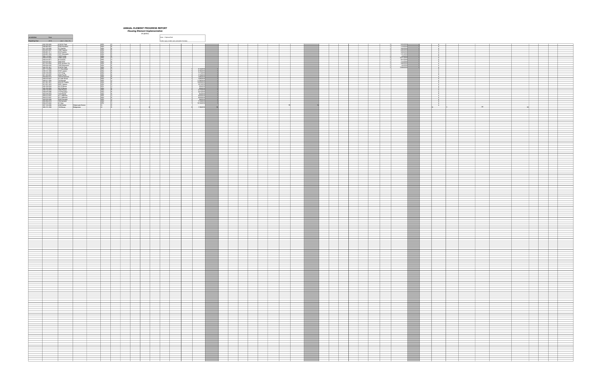|  | <b>ANNUAL ELEMENT PROGRESS REPOI</b> |  |
|--|--------------------------------------|--|
|  |                                      |  |

# ANNUAL ELEMENT PROGRESS REPORT<br>Housing Element Implementation<br>25 §6202)

|                                                                                                                                                                                                                                                              |                                                                            |                                                                                 | nousing Liement implementation<br>25 662021 |                        |                                                |                                                                                                                                                                                                                                                                                                                                                                    |                   |                                 |         |                                     |  |  |                                     |                                                                                                                                |                                                                                                                                                                                                                                      |                                                                     |    |                                                                                 |
|--------------------------------------------------------------------------------------------------------------------------------------------------------------------------------------------------------------------------------------------------------------|----------------------------------------------------------------------------|---------------------------------------------------------------------------------|---------------------------------------------|------------------------|------------------------------------------------|--------------------------------------------------------------------------------------------------------------------------------------------------------------------------------------------------------------------------------------------------------------------------------------------------------------------------------------------------------------------|-------------------|---------------------------------|---------|-------------------------------------|--|--|-------------------------------------|--------------------------------------------------------------------------------------------------------------------------------|--------------------------------------------------------------------------------------------------------------------------------------------------------------------------------------------------------------------------------------|---------------------------------------------------------------------|----|---------------------------------------------------------------------------------|
| <b>Jurisdiction Napa</b>                                                                                                                                                                                                                                     |                                                                            |                                                                                 |                                             | Note: + Optional field |                                                |                                                                                                                                                                                                                                                                                                                                                                    |                   |                                 |         |                                     |  |  |                                     |                                                                                                                                |                                                                                                                                                                                                                                      |                                                                     |    |                                                                                 |
|                                                                                                                                                                                                                                                              |                                                                            |                                                                                 |                                             |                        |                                                |                                                                                                                                                                                                                                                                                                                                                                    |                   |                                 |         |                                     |  |  |                                     |                                                                                                                                |                                                                                                                                                                                                                                      |                                                                     |    |                                                                                 |
| Reporting Year 2018 (Jan. 1 - Dec. 31)                                                                                                                                                                                                                       |                                                                            |                                                                                 |                                             |                        | Cels in grev contain auto-calculation formulas |                                                                                                                                                                                                                                                                                                                                                                    |                   |                                 |         |                                     |  |  |                                     |                                                                                                                                |                                                                                                                                                                                                                                      |                                                                     |    |                                                                                 |
| 042-160-025 2126 W Park                                                                                                                                                                                                                                      |                                                                            | SFD                                                                             |                                             |                        |                                                |                                                                                                                                                                                                                                                                                                                                                                    |                   |                                 |         |                                     |  |  |                                     | 5/16/2018                                                                                                                      |                                                                                                                                                                                                                                      |                                                                     |    |                                                                                 |
| 938-263-001<br>041-122-005 31 Camilla<br>003-053-007 1960 Yajome<br>005-061-011 333 Franklin<br>005-061-011 333 Franklin                                                                                                                                     |                                                                            | ADU<br>ADU ADU<br>ADU ADU<br>ADU SFD STD<br>ADU<br>ADU SFD<br>ADU<br>ADU<br>ADU |                                             |                        |                                                |                                                                                                                                                                                                                                                                                                                                                                    | __                |                                 |         |                                     |  |  |                                     | 1/19/2018                                                                                                                      |                                                                                                                                                                                                                                      |                                                                     |    |                                                                                 |
|                                                                                                                                                                                                                                                              |                                                                            |                                                                                 |                                             |                        |                                                |                                                                                                                                                                                                                                                                                                                                                                    |                   |                                 |         |                                     |  |  |                                     | $\begin{array}{r l}\n & 3/22/2018 \\  & 3/22/2018 \\  & 4/20/2018 \\  & 1/31/2018 \\  & 4/9/2018 \\  & 4/9/2018\n \end{array}$ |                                                                                                                                                                                                                                      | $\begin{array}{c c}\nN & \\ N & \\ \hline\n\end{array}$<br>N        |    |                                                                                 |
| 045-061-004 1571 Silverado                                                                                                                                                                                                                                   |                                                                            |                                                                                 |                                             |                        |                                                |                                                                                                                                                                                                                                                                                                                                                                    |                   |                                 |         |                                     |  |  |                                     |                                                                                                                                |                                                                                                                                                                                                                                      | N                                                                   |    |                                                                                 |
|                                                                                                                                                                                                                                                              |                                                                            |                                                                                 |                                             |                        |                                                |                                                                                                                                                                                                                                                                                                                                                                    |                   |                                 |         |                                     |  |  |                                     | 4/9/2018<br>10/11/2018<br>9/17/2018<br>4/10/2018                                                                               |                                                                                                                                                                                                                                      | N<br>N                                                              |    |                                                                                 |
|                                                                                                                                                                                                                                                              |                                                                            |                                                                                 |                                             |                        |                                                |                                                                                                                                                                                                                                                                                                                                                                    |                   |                                 |         |                                     |  |  |                                     |                                                                                                                                |                                                                                                                                                                                                                                      | N                                                                   |    |                                                                                 |
| 932-11247<br>932-11247<br>945-219-07<br>945-219-07<br>945-219-07<br>946-219-07<br>946-219-02<br>946-219-02<br>946-219-02<br>946-219-02<br>946-219 Particular<br>946-219 Particular<br>946-219 Particular<br>946-219 Particular<br>946-219 Particular<br>946- |                                                                            |                                                                                 |                                             |                        |                                                |                                                                                                                                                                                                                                                                                                                                                                    |                   |                                 |         |                                     |  |  |                                     | 1/12/2018<br>2/26/2018<br>2/26/2018<br>4/4/2018<br>12/28/2018                                                                  |                                                                                                                                                                                                                                      | N<br>$\begin{array}{c} \hline \textbf{N} & \textbf{N} \end{array}$  |    |                                                                                 |
|                                                                                                                                                                                                                                                              |                                                                            |                                                                                 |                                             |                        |                                                |                                                                                                                                                                                                                                                                                                                                                                    |                   |                                 |         |                                     |  |  |                                     |                                                                                                                                |                                                                                                                                                                                                                                      | N                                                                   |    |                                                                                 |
|                                                                                                                                                                                                                                                              |                                                                            |                                                                                 |                                             |                        |                                                |                                                                                                                                                                                                                                                                                                                                                                    |                   |                                 |         |                                     |  |  |                                     |                                                                                                                                |                                                                                                                                                                                                                                      | N<br>N                                                              |    |                                                                                 |
|                                                                                                                                                                                                                                                              |                                                                            |                                                                                 |                                             |                        |                                                | 6/14/2018                                                                                                                                                                                                                                                                                                                                                          |                   |                                 |         |                                     |  |  |                                     |                                                                                                                                |                                                                                                                                                                                                                                      | $\mathbb N$                                                         |    |                                                                                 |
| 007-172-029<br>038-141-008<br>038-141-008<br>045-125-005<br>1417 King<br>001-163-007<br>2440 Pacific                                                                                                                                                         |                                                                            |                                                                                 |                                             |                        |                                                | 7/11/2018<br>7/13/2018                                                                                                                                                                                                                                                                                                                                             |                   |                                 |         |                                     |  |  |                                     |                                                                                                                                |                                                                                                                                                                                                                                      | N                                                                   |    |                                                                                 |
| $\begin{array}{r} 004.052-015 \\ 045-210-027 \\ 045-411-020 \\ 041-301-001 \\ 011-051-023 \\ 045-450-23 \\ 045-450-23 \\ \end{array}$                                                                                                                        | 148 Homewood<br>21 Oak Grove<br>16 Pascale<br>2616 W Pueblo<br>2691 Yajome | ADU<br>ADU<br>SFD<br>ADU<br>ADU                                                 |                                             |                        |                                                | $\begin{array}{r l} \hline \rule{0pt}{2.5ex} & 77202018 \\ \hline \rule{0pt}{2.5ex} & 77202018 \\ \hline \rule{0pt}{2.5ex} & 77252018 \\ \hline \rule{0pt}{2.5ex} & 11302018 \\ \hline \rule{0pt}{2.5ex} & 22142016 \\ \hline \rule{0pt}{2.5ex} & 2142016 \\ \hline \rule{0pt}{2.5ex} & 2142016 \\ \hline \rule{0pt}{2.5ex} & 2142016 \\ \hline \rule{0pt}{2.5ex}$ |                   |                                 |         |                                     |  |  |                                     |                                                                                                                                | <u> Linda and a stationary and a stationary and a stationary and a stationary and a stationary stationary and a</u>                                                                                                                  | $\begin{array}{c c}\nN \\ N \\ N\n\end{array}$                      |    |                                                                                 |
|                                                                                                                                                                                                                                                              |                                                                            |                                                                                 |                                             |                        |                                                |                                                                                                                                                                                                                                                                                                                                                                    |                   |                                 |         |                                     |  |  |                                     |                                                                                                                                |                                                                                                                                                                                                                                      | N                                                                   |    |                                                                                 |
|                                                                                                                                                                                                                                                              |                                                                            |                                                                                 |                                             |                        |                                                |                                                                                                                                                                                                                                                                                                                                                                    |                   |                                 |         |                                     |  |  |                                     |                                                                                                                                |                                                                                                                                                                                                                                      | N                                                                   |    |                                                                                 |
|                                                                                                                                                                                                                                                              |                                                                            |                                                                                 |                                             |                        |                                                |                                                                                                                                                                                                                                                                                                                                                                    |                   |                                 |         |                                     |  |  |                                     |                                                                                                                                |                                                                                                                                                                                                                                      | N<br>N                                                              |    |                                                                                 |
| 045-162-004<br>045-162-004<br>038-132-003<br>038-070-086                                                                                                                                                                                                     | 421 E Berna<br>421 E Berna<br>421 E Berna<br>1642 Rainier<br>115 Paradise  | ADU<br>ADU<br>ADU<br>ADU                                                        |                                             |                        |                                                | 2/5/2018<br>2/5/2018<br>4/17/2018<br>5/21/2018                                                                                                                                                                                                                                                                                                                     |                   |                                 |         |                                     |  |  |                                     |                                                                                                                                |                                                                                                                                                                                                                                      | $\begin{array}{c c}\nN \\ N \\ \hline\nN \\ \hline\nN\n\end{array}$ |    |                                                                                 |
|                                                                                                                                                                                                                                                              |                                                                            |                                                                                 |                                             |                        |                                                |                                                                                                                                                                                                                                                                                                                                                                    |                   |                                 |         |                                     |  |  |                                     |                                                                                                                                |                                                                                                                                                                                                                                      |                                                                     |    |                                                                                 |
| 052-076-003<br>052-076-003<br>004-212-047<br>002-035-009<br>002-035-009<br>2230 Georgia                                                                                                                                                                      |                                                                            | ADU<br>SFD<br>ADU<br>SFD                                                        |                                             |                        |                                                | 6/4/2018<br>8/23/2018                                                                                                                                                                                                                                                                                                                                              |                   |                                 |         |                                     |  |  |                                     |                                                                                                                                |                                                                                                                                                                                                                                      | N                                                                   |    |                                                                                 |
|                                                                                                                                                                                                                                                              |                                                                            |                                                                                 |                                             |                        |                                                | 8/23/2018<br>3/8/2018                                                                                                                                                                                                                                                                                                                                              |                   |                                 |         |                                     |  |  |                                     |                                                                                                                                |                                                                                                                                                                                                                                      | N                                                                   |    |                                                                                 |
|                                                                                                                                                                                                                                                              |                                                                            |                                                                                 |                                             |                        |                                                | 7/13/2018                                                                                                                                                                                                                                                                                                                                                          |                   |                                 |         |                                     |  |  |                                     |                                                                                                                                |                                                                                                                                                                                                                                      | N<br>N                                                              |    |                                                                                 |
|                                                                                                                                                                                                                                                              |                                                                            | ADU<br>SFD                                                                      |                                             |                        |                                                | 10/12/2018                                                                                                                                                                                                                                                                                                                                                         |                   |                                 |         |                                     |  |  |                                     |                                                                                                                                |                                                                                                                                                                                                                                      | $\begin{array}{c} N \\ N \end{array}$                               |    |                                                                                 |
| 002-039-049<br>004-304-019 154 Hartson<br>002-372-022 41 Sear<br>007-120-006 4026 Mather Watermark Senior<br>005-131-038 122 Brown Bridgeview                                                                                                                |                                                                            |                                                                                 |                                             |                        |                                                | 1/16/2018                                                                                                                                                                                                                                                                                                                                                          |                   |                                 |         |                                     |  |  |                                     |                                                                                                                                |                                                                                                                                                                                                                                      |                                                                     | DB |                                                                                 |
|                                                                                                                                                                                                                                                              |                                                                            |                                                                                 |                                             |                        |                                                |                                                                                                                                                                                                                                                                                                                                                                    |                   |                                 |         |                                     |  |  |                                     |                                                                                                                                |                                                                                                                                                                                                                                      |                                                                     |    |                                                                                 |
|                                                                                                                                                                                                                                                              |                                                                            |                                                                                 |                                             |                        |                                                |                                                                                                                                                                                                                                                                                                                                                                    |                   |                                 |         |                                     |  |  |                                     |                                                                                                                                |                                                                                                                                                                                                                                      |                                                                     |    |                                                                                 |
|                                                                                                                                                                                                                                                              |                                                                            |                                                                                 |                                             |                        |                                                |                                                                                                                                                                                                                                                                                                                                                                    |                   |                                 |         |                                     |  |  |                                     |                                                                                                                                |                                                                                                                                                                                                                                      |                                                                     |    |                                                                                 |
|                                                                                                                                                                                                                                                              |                                                                            |                                                                                 |                                             |                        |                                                |                                                                                                                                                                                                                                                                                                                                                                    |                   |                                 |         |                                     |  |  |                                     |                                                                                                                                |                                                                                                                                                                                                                                      |                                                                     |    |                                                                                 |
|                                                                                                                                                                                                                                                              |                                                                            |                                                                                 |                                             |                        |                                                |                                                                                                                                                                                                                                                                                                                                                                    |                   |                                 |         |                                     |  |  |                                     |                                                                                                                                |                                                                                                                                                                                                                                      |                                                                     |    |                                                                                 |
|                                                                                                                                                                                                                                                              |                                                                            |                                                                                 |                                             |                        |                                                |                                                                                                                                                                                                                                                                                                                                                                    |                   |                                 |         |                                     |  |  |                                     |                                                                                                                                |                                                                                                                                                                                                                                      |                                                                     |    |                                                                                 |
|                                                                                                                                                                                                                                                              |                                                                            |                                                                                 |                                             |                        |                                                |                                                                                                                                                                                                                                                                                                                                                                    |                   |                                 |         |                                     |  |  |                                     |                                                                                                                                |                                                                                                                                                                                                                                      |                                                                     |    |                                                                                 |
|                                                                                                                                                                                                                                                              |                                                                            |                                                                                 |                                             |                        |                                                |                                                                                                                                                                                                                                                                                                                                                                    |                   |                                 |         |                                     |  |  |                                     |                                                                                                                                |                                                                                                                                                                                                                                      |                                                                     |    |                                                                                 |
|                                                                                                                                                                                                                                                              |                                                                            |                                                                                 |                                             |                        |                                                |                                                                                                                                                                                                                                                                                                                                                                    |                   |                                 |         |                                     |  |  |                                     |                                                                                                                                | __                                                                                                                                                                                                                                   |                                                                     |    |                                                                                 |
|                                                                                                                                                                                                                                                              |                                                                            |                                                                                 |                                             |                        |                                                |                                                                                                                                                                                                                                                                                                                                                                    |                   |                                 |         |                                     |  |  |                                     |                                                                                                                                |                                                                                                                                                                                                                                      |                                                                     |    |                                                                                 |
|                                                                                                                                                                                                                                                              |                                                                            |                                                                                 |                                             |                        |                                                |                                                                                                                                                                                                                                                                                                                                                                    |                   |                                 |         |                                     |  |  |                                     |                                                                                                                                | <b>STATE OF BUILDING</b>                                                                                                                                                                                                             |                                                                     |    |                                                                                 |
|                                                                                                                                                                                                                                                              |                                                                            |                                                                                 |                                             |                        |                                                |                                                                                                                                                                                                                                                                                                                                                                    |                   |                                 |         |                                     |  |  |                                     |                                                                                                                                |                                                                                                                                                                                                                                      |                                                                     |    |                                                                                 |
|                                                                                                                                                                                                                                                              |                                                                            |                                                                                 |                                             |                        |                                                |                                                                                                                                                                                                                                                                                                                                                                    |                   |                                 |         |                                     |  |  |                                     |                                                                                                                                |                                                                                                                                                                                                                                      |                                                                     |    |                                                                                 |
|                                                                                                                                                                                                                                                              |                                                                            |                                                                                 |                                             |                        |                                                |                                                                                                                                                                                                                                                                                                                                                                    |                   |                                 |         |                                     |  |  |                                     |                                                                                                                                |                                                                                                                                                                                                                                      |                                                                     |    |                                                                                 |
|                                                                                                                                                                                                                                                              |                                                                            |                                                                                 |                                             |                        |                                                |                                                                                                                                                                                                                                                                                                                                                                    |                   |                                 |         |                                     |  |  |                                     |                                                                                                                                |                                                                                                                                                                                                                                      |                                                                     |    |                                                                                 |
|                                                                                                                                                                                                                                                              |                                                                            |                                                                                 |                                             |                        |                                                |                                                                                                                                                                                                                                                                                                                                                                    |                   |                                 |         |                                     |  |  |                                     |                                                                                                                                |                                                                                                                                                                                                                                      |                                                                     |    |                                                                                 |
|                                                                                                                                                                                                                                                              |                                                                            |                                                                                 |                                             |                        |                                                |                                                                                                                                                                                                                                                                                                                                                                    |                   |                                 |         |                                     |  |  |                                     |                                                                                                                                |                                                                                                                                                                                                                                      |                                                                     |    |                                                                                 |
|                                                                                                                                                                                                                                                              |                                                                            |                                                                                 |                                             |                        |                                                |                                                                                                                                                                                                                                                                                                                                                                    | <b>STATE</b>      |                                 |         |                                     |  |  |                                     |                                                                                                                                |                                                                                                                                                                                                                                      |                                                                     |    |                                                                                 |
|                                                                                                                                                                                                                                                              |                                                                            |                                                                                 |                                             |                        |                                                |                                                                                                                                                                                                                                                                                                                                                                    |                   |                                 |         |                                     |  |  |                                     |                                                                                                                                |                                                                                                                                                                                                                                      |                                                                     |    |                                                                                 |
|                                                                                                                                                                                                                                                              |                                                                            |                                                                                 |                                             |                        |                                                |                                                                                                                                                                                                                                                                                                                                                                    |                   |                                 |         |                                     |  |  |                                     |                                                                                                                                |                                                                                                                                                                                                                                      |                                                                     |    |                                                                                 |
|                                                                                                                                                                                                                                                              |                                                                            |                                                                                 |                                             |                        |                                                |                                                                                                                                                                                                                                                                                                                                                                    |                   |                                 |         |                                     |  |  |                                     |                                                                                                                                |                                                                                                                                                                                                                                      |                                                                     |    |                                                                                 |
|                                                                                                                                                                                                                                                              |                                                                            |                                                                                 |                                             |                        |                                                |                                                                                                                                                                                                                                                                                                                                                                    |                   |                                 |         |                                     |  |  |                                     |                                                                                                                                |                                                                                                                                                                                                                                      |                                                                     |    |                                                                                 |
|                                                                                                                                                                                                                                                              |                                                                            |                                                                                 |                                             |                        |                                                |                                                                                                                                                                                                                                                                                                                                                                    |                   |                                 |         |                                     |  |  |                                     |                                                                                                                                |                                                                                                                                                                                                                                      |                                                                     |    |                                                                                 |
|                                                                                                                                                                                                                                                              |                                                                            |                                                                                 |                                             |                        |                                                |                                                                                                                                                                                                                                                                                                                                                                    |                   |                                 |         |                                     |  |  |                                     |                                                                                                                                |                                                                                                                                                                                                                                      |                                                                     |    |                                                                                 |
|                                                                                                                                                                                                                                                              |                                                                            |                                                                                 |                                             |                        |                                                |                                                                                                                                                                                                                                                                                                                                                                    |                   |                                 |         |                                     |  |  |                                     |                                                                                                                                |                                                                                                                                                                                                                                      |                                                                     |    |                                                                                 |
|                                                                                                                                                                                                                                                              |                                                                            |                                                                                 |                                             |                        |                                                |                                                                                                                                                                                                                                                                                                                                                                    |                   |                                 |         |                                     |  |  |                                     |                                                                                                                                |                                                                                                                                                                                                                                      |                                                                     |    |                                                                                 |
|                                                                                                                                                                                                                                                              |                                                                            |                                                                                 |                                             |                        |                                                |                                                                                                                                                                                                                                                                                                                                                                    |                   |                                 |         |                                     |  |  |                                     |                                                                                                                                |                                                                                                                                                                                                                                      |                                                                     |    |                                                                                 |
|                                                                                                                                                                                                                                                              |                                                                            |                                                                                 |                                             |                        |                                                |                                                                                                                                                                                                                                                                                                                                                                    | __                |                                 |         |                                     |  |  |                                     |                                                                                                                                |                                                                                                                                                                                                                                      |                                                                     |    |                                                                                 |
|                                                                                                                                                                                                                                                              |                                                                            |                                                                                 |                                             |                        |                                                |                                                                                                                                                                                                                                                                                                                                                                    | <b>STATISTICS</b> |                                 |         |                                     |  |  |                                     |                                                                                                                                |                                                                                                                                                                                                                                      |                                                                     |    |                                                                                 |
|                                                                                                                                                                                                                                                              |                                                                            |                                                                                 |                                             |                        |                                                |                                                                                                                                                                                                                                                                                                                                                                    | <b>STATE</b>      |                                 |         |                                     |  |  |                                     |                                                                                                                                |                                                                                                                                                                                                                                      |                                                                     |    |                                                                                 |
|                                                                                                                                                                                                                                                              |                                                                            |                                                                                 |                                             |                        |                                                |                                                                                                                                                                                                                                                                                                                                                                    |                   |                                 |         |                                     |  |  |                                     |                                                                                                                                |                                                                                                                                                                                                                                      |                                                                     |    |                                                                                 |
|                                                                                                                                                                                                                                                              |                                                                            |                                                                                 |                                             |                        |                                                |                                                                                                                                                                                                                                                                                                                                                                    |                   |                                 |         |                                     |  |  |                                     |                                                                                                                                |                                                                                                                                                                                                                                      |                                                                     |    |                                                                                 |
|                                                                                                                                                                                                                                                              |                                                                            |                                                                                 |                                             |                        |                                                |                                                                                                                                                                                                                                                                                                                                                                    |                   |                                 |         |                                     |  |  |                                     |                                                                                                                                |                                                                                                                                                                                                                                      |                                                                     |    |                                                                                 |
|                                                                                                                                                                                                                                                              |                                                                            |                                                                                 |                                             |                        |                                                |                                                                                                                                                                                                                                                                                                                                                                    |                   |                                 |         |                                     |  |  |                                     |                                                                                                                                |                                                                                                                                                                                                                                      |                                                                     |    |                                                                                 |
|                                                                                                                                                                                                                                                              |                                                                            |                                                                                 |                                             |                        |                                                |                                                                                                                                                                                                                                                                                                                                                                    |                   |                                 |         |                                     |  |  |                                     |                                                                                                                                |                                                                                                                                                                                                                                      |                                                                     |    |                                                                                 |
|                                                                                                                                                                                                                                                              |                                                                            |                                                                                 |                                             |                        |                                                |                                                                                                                                                                                                                                                                                                                                                                    |                   |                                 |         |                                     |  |  |                                     |                                                                                                                                |                                                                                                                                                                                                                                      |                                                                     |    |                                                                                 |
|                                                                                                                                                                                                                                                              |                                                                            |                                                                                 |                                             |                        |                                                |                                                                                                                                                                                                                                                                                                                                                                    |                   |                                 |         |                                     |  |  |                                     |                                                                                                                                |                                                                                                                                                                                                                                      |                                                                     |    |                                                                                 |
|                                                                                                                                                                                                                                                              |                                                                            |                                                                                 |                                             |                        |                                                |                                                                                                                                                                                                                                                                                                                                                                    |                   |                                 |         |                                     |  |  |                                     |                                                                                                                                |                                                                                                                                                                                                                                      |                                                                     |    |                                                                                 |
|                                                                                                                                                                                                                                                              |                                                                            |                                                                                 |                                             |                        |                                                |                                                                                                                                                                                                                                                                                                                                                                    | __                |                                 |         |                                     |  |  |                                     |                                                                                                                                |                                                                                                                                                                                                                                      |                                                                     |    |                                                                                 |
|                                                                                                                                                                                                                                                              |                                                                            |                                                                                 |                                             |                        |                                                |                                                                                                                                                                                                                                                                                                                                                                    |                   |                                 |         |                                     |  |  |                                     |                                                                                                                                |                                                                                                                                                                                                                                      |                                                                     |    |                                                                                 |
|                                                                                                                                                                                                                                                              |                                                                            |                                                                                 |                                             |                        |                                                |                                                                                                                                                                                                                                                                                                                                                                    |                   |                                 |         |                                     |  |  |                                     |                                                                                                                                |                                                                                                                                                                                                                                      |                                                                     |    |                                                                                 |
|                                                                                                                                                                                                                                                              |                                                                            |                                                                                 |                                             |                        |                                                |                                                                                                                                                                                                                                                                                                                                                                    |                   |                                 |         |                                     |  |  |                                     |                                                                                                                                |                                                                                                                                                                                                                                      |                                                                     |    |                                                                                 |
|                                                                                                                                                                                                                                                              |                                                                            |                                                                                 |                                             |                        |                                                |                                                                                                                                                                                                                                                                                                                                                                    |                   |                                 |         |                                     |  |  |                                     |                                                                                                                                |                                                                                                                                                                                                                                      |                                                                     |    |                                                                                 |
|                                                                                                                                                                                                                                                              |                                                                            |                                                                                 |                                             |                        |                                                |                                                                                                                                                                                                                                                                                                                                                                    |                   |                                 |         |                                     |  |  |                                     |                                                                                                                                |                                                                                                                                                                                                                                      |                                                                     |    |                                                                                 |
|                                                                                                                                                                                                                                                              |                                                                            |                                                                                 |                                             |                        |                                                |                                                                                                                                                                                                                                                                                                                                                                    |                   |                                 |         |                                     |  |  |                                     |                                                                                                                                |                                                                                                                                                                                                                                      |                                                                     |    |                                                                                 |
|                                                                                                                                                                                                                                                              |                                                                            |                                                                                 |                                             |                        |                                                |                                                                                                                                                                                                                                                                                                                                                                    |                   |                                 |         |                                     |  |  |                                     |                                                                                                                                |                                                                                                                                                                                                                                      |                                                                     |    |                                                                                 |
|                                                                                                                                                                                                                                                              |                                                                            |                                                                                 |                                             |                        |                                                |                                                                                                                                                                                                                                                                                                                                                                    |                   |                                 |         |                                     |  |  |                                     |                                                                                                                                |                                                                                                                                                                                                                                      |                                                                     |    |                                                                                 |
|                                                                                                                                                                                                                                                              |                                                                            |                                                                                 |                                             |                        |                                                |                                                                                                                                                                                                                                                                                                                                                                    |                   |                                 |         |                                     |  |  |                                     |                                                                                                                                |                                                                                                                                                                                                                                      |                                                                     |    |                                                                                 |
|                                                                                                                                                                                                                                                              |                                                                            |                                                                                 |                                             |                        |                                                |                                                                                                                                                                                                                                                                                                                                                                    |                   |                                 |         |                                     |  |  |                                     |                                                                                                                                |                                                                                                                                                                                                                                      |                                                                     |    |                                                                                 |
|                                                                                                                                                                                                                                                              |                                                                            |                                                                                 |                                             |                        |                                                |                                                                                                                                                                                                                                                                                                                                                                    |                   |                                 |         |                                     |  |  |                                     |                                                                                                                                |                                                                                                                                                                                                                                      |                                                                     |    |                                                                                 |
|                                                                                                                                                                                                                                                              |                                                                            |                                                                                 |                                             |                        |                                                |                                                                                                                                                                                                                                                                                                                                                                    |                   |                                 |         |                                     |  |  |                                     |                                                                                                                                |                                                                                                                                                                                                                                      |                                                                     |    |                                                                                 |
|                                                                                                                                                                                                                                                              |                                                                            |                                                                                 |                                             |                        |                                                |                                                                                                                                                                                                                                                                                                                                                                    |                   |                                 |         |                                     |  |  |                                     |                                                                                                                                |                                                                                                                                                                                                                                      |                                                                     |    |                                                                                 |
|                                                                                                                                                                                                                                                              |                                                                            |                                                                                 |                                             |                        |                                                |                                                                                                                                                                                                                                                                                                                                                                    |                   |                                 |         |                                     |  |  |                                     |                                                                                                                                |                                                                                                                                                                                                                                      |                                                                     |    |                                                                                 |
|                                                                                                                                                                                                                                                              |                                                                            |                                                                                 |                                             |                        |                                                |                                                                                                                                                                                                                                                                                                                                                                    |                   | ______                          | _____   |                                     |  |  | ____                                |                                                                                                                                |                                                                                                                                                                                                                                      |                                                                     |    |                                                                                 |
|                                                                                                                                                                                                                                                              |                                                                            |                                                                                 |                                             |                        |                                                |                                                                                                                                                                                                                                                                                                                                                                    |                   |                                 |         |                                     |  |  |                                     |                                                                                                                                |                                                                                                                                                                                                                                      |                                                                     |    |                                                                                 |
|                                                                                                                                                                                                                                                              |                                                                            |                                                                                 |                                             |                        |                                                |                                                                                                                                                                                                                                                                                                                                                                    |                   |                                 |         |                                     |  |  |                                     |                                                                                                                                |                                                                                                                                                                                                                                      |                                                                     |    |                                                                                 |
|                                                                                                                                                                                                                                                              |                                                                            |                                                                                 |                                             |                        |                                                |                                                                                                                                                                                                                                                                                                                                                                    | __                |                                 |         |                                     |  |  |                                     |                                                                                                                                |                                                                                                                                                                                                                                      |                                                                     |    |                                                                                 |
|                                                                                                                                                                                                                                                              |                                                                            |                                                                                 | _______                                     |                        |                                                |                                                                                                                                                                                                                                                                                                                                                                    |                   | the contract of the contract of | _______ | the contract of the contract of the |  |  | the contract of the contract of     |                                                                                                                                |                                                                                                                                                                                                                                      | the contract of the contract of                                     |    | the contract of the contract of the contract of                                 |
|                                                                                                                                                                                                                                                              |                                                                            |                                                                                 |                                             |                        |                                                |                                                                                                                                                                                                                                                                                                                                                                    |                   |                                 |         |                                     |  |  |                                     |                                                                                                                                |                                                                                                                                                                                                                                      |                                                                     |    |                                                                                 |
|                                                                                                                                                                                                                                                              |                                                                            |                                                                                 |                                             |                        |                                                |                                                                                                                                                                                                                                                                                                                                                                    |                   |                                 |         |                                     |  |  |                                     |                                                                                                                                |                                                                                                                                                                                                                                      |                                                                     |    | ___                                                                             |
|                                                                                                                                                                                                                                                              |                                                                            |                                                                                 |                                             |                        |                                                |                                                                                                                                                                                                                                                                                                                                                                    |                   |                                 |         |                                     |  |  |                                     |                                                                                                                                |                                                                                                                                                                                                                                      |                                                                     |    |                                                                                 |
|                                                                                                                                                                                                                                                              |                                                                            |                                                                                 |                                             |                        |                                                |                                                                                                                                                                                                                                                                                                                                                                    |                   |                                 |         |                                     |  |  |                                     |                                                                                                                                |                                                                                                                                                                                                                                      |                                                                     |    |                                                                                 |
|                                                                                                                                                                                                                                                              |                                                                            |                                                                                 |                                             |                        |                                                |                                                                                                                                                                                                                                                                                                                                                                    |                   |                                 |         |                                     |  |  |                                     |                                                                                                                                | ____                                                                                                                                                                                                                                 |                                                                     |    |                                                                                 |
|                                                                                                                                                                                                                                                              |                                                                            |                                                                                 |                                             |                        |                                                |                                                                                                                                                                                                                                                                                                                                                                    |                   |                                 |         |                                     |  |  |                                     |                                                                                                                                |                                                                                                                                                                                                                                      |                                                                     |    | the contract of the contract of the contract of                                 |
|                                                                                                                                                                                                                                                              |                                                                            |                                                                                 |                                             |                        |                                                |                                                                                                                                                                                                                                                                                                                                                                    |                   |                                 |         |                                     |  |  |                                     |                                                                                                                                |                                                                                                                                                                                                                                      |                                                                     |    |                                                                                 |
|                                                                                                                                                                                                                                                              |                                                                            |                                                                                 |                                             |                        |                                                |                                                                                                                                                                                                                                                                                                                                                                    |                   |                                 |         |                                     |  |  |                                     |                                                                                                                                |                                                                                                                                                                                                                                      |                                                                     |    |                                                                                 |
|                                                                                                                                                                                                                                                              |                                                                            |                                                                                 |                                             |                        |                                                |                                                                                                                                                                                                                                                                                                                                                                    |                   |                                 |         |                                     |  |  |                                     |                                                                                                                                |                                                                                                                                                                                                                                      |                                                                     |    |                                                                                 |
|                                                                                                                                                                                                                                                              |                                                                            |                                                                                 |                                             |                        |                                                |                                                                                                                                                                                                                                                                                                                                                                    |                   |                                 |         |                                     |  |  |                                     |                                                                                                                                |                                                                                                                                                                                                                                      |                                                                     |    |                                                                                 |
|                                                                                                                                                                                                                                                              |                                                                            |                                                                                 |                                             |                        |                                                |                                                                                                                                                                                                                                                                                                                                                                    |                   |                                 |         |                                     |  |  |                                     |                                                                                                                                |                                                                                                                                                                                                                                      |                                                                     |    | the contract of the contract of the contract of                                 |
|                                                                                                                                                                                                                                                              |                                                                            |                                                                                 |                                             |                        |                                                |                                                                                                                                                                                                                                                                                                                                                                    |                   |                                 |         |                                     |  |  |                                     |                                                                                                                                |                                                                                                                                                                                                                                      |                                                                     |    |                                                                                 |
|                                                                                                                                                                                                                                                              |                                                                            |                                                                                 |                                             |                        |                                                |                                                                                                                                                                                                                                                                                                                                                                    |                   |                                 |         |                                     |  |  |                                     |                                                                                                                                |                                                                                                                                                                                                                                      |                                                                     |    |                                                                                 |
|                                                                                                                                                                                                                                                              |                                                                            |                                                                                 |                                             |                        |                                                |                                                                                                                                                                                                                                                                                                                                                                    |                   |                                 |         |                                     |  |  |                                     |                                                                                                                                |                                                                                                                                                                                                                                      |                                                                     |    |                                                                                 |
|                                                                                                                                                                                                                                                              |                                                                            |                                                                                 |                                             |                        |                                                |                                                                                                                                                                                                                                                                                                                                                                    |                   |                                 |         |                                     |  |  |                                     |                                                                                                                                |                                                                                                                                                                                                                                      |                                                                     |    |                                                                                 |
|                                                                                                                                                                                                                                                              |                                                                            |                                                                                 |                                             |                        |                                                |                                                                                                                                                                                                                                                                                                                                                                    |                   |                                 |         |                                     |  |  |                                     |                                                                                                                                |                                                                                                                                                                                                                                      |                                                                     |    |                                                                                 |
|                                                                                                                                                                                                                                                              |                                                                            |                                                                                 |                                             |                        |                                                |                                                                                                                                                                                                                                                                                                                                                                    |                   |                                 | _____   |                                     |  |  | the contract of the contract of the |                                                                                                                                | __                                                                                                                                                                                                                                   |                                                                     |    | the contract of the contract of the contract of the contract of the contract of |
|                                                                                                                                                                                                                                                              |                                                                            |                                                                                 |                                             |                        |                                                |                                                                                                                                                                                                                                                                                                                                                                    |                   |                                 |         |                                     |  |  |                                     |                                                                                                                                |                                                                                                                                                                                                                                      |                                                                     |    |                                                                                 |
|                                                                                                                                                                                                                                                              |                                                                            |                                                                                 |                                             |                        |                                                |                                                                                                                                                                                                                                                                                                                                                                    |                   |                                 |         |                                     |  |  |                                     |                                                                                                                                |                                                                                                                                                                                                                                      |                                                                     |    |                                                                                 |
|                                                                                                                                                                                                                                                              |                                                                            |                                                                                 |                                             |                        |                                                |                                                                                                                                                                                                                                                                                                                                                                    |                   |                                 |         |                                     |  |  |                                     |                                                                                                                                |                                                                                                                                                                                                                                      |                                                                     |    |                                                                                 |
|                                                                                                                                                                                                                                                              |                                                                            |                                                                                 |                                             |                        |                                                |                                                                                                                                                                                                                                                                                                                                                                    |                   | ______                          |         | _______                             |  |  | _____                               |                                                                                                                                | <u> London and Communications and Communications and Communications and Communications and Communications and Communications and Communications and Communications and Communications and Communications and Communications and </u> |                                                                     |    | __                                                                              |
|                                                                                                                                                                                                                                                              |                                                                            |                                                                                 |                                             |                        |                                                |                                                                                                                                                                                                                                                                                                                                                                    |                   |                                 |         |                                     |  |  |                                     |                                                                                                                                |                                                                                                                                                                                                                                      |                                                                     |    |                                                                                 |
|                                                                                                                                                                                                                                                              |                                                                            |                                                                                 |                                             |                        |                                                |                                                                                                                                                                                                                                                                                                                                                                    |                   |                                 |         |                                     |  |  |                                     |                                                                                                                                |                                                                                                                                                                                                                                      |                                                                     |    |                                                                                 |
|                                                                                                                                                                                                                                                              |                                                                            |                                                                                 |                                             |                        |                                                |                                                                                                                                                                                                                                                                                                                                                                    |                   |                                 |         |                                     |  |  |                                     |                                                                                                                                |                                                                                                                                                                                                                                      |                                                                     |    | ___                                                                             |
|                                                                                                                                                                                                                                                              |                                                                            |                                                                                 |                                             |                        |                                                |                                                                                                                                                                                                                                                                                                                                                                    |                   |                                 |         |                                     |  |  | and the company of the company of   |                                                                                                                                |                                                                                                                                                                                                                                      |                                                                     |    | the contract of the contract of the contract of the contract of                 |
|                                                                                                                                                                                                                                                              |                                                                            |                                                                                 | --<br>___                                   |                        |                                                |                                                                                                                                                                                                                                                                                                                                                                    |                   | --                              | __      |                                     |  |  | __                                  |                                                                                                                                | ___                                                                                                                                                                                                                                  |                                                                     |    | —                                                                               |
|                                                                                                                                                                                                                                                              |                                                                            |                                                                                 |                                             |                        |                                                |                                                                                                                                                                                                                                                                                                                                                                    |                   |                                 |         |                                     |  |  |                                     |                                                                                                                                |                                                                                                                                                                                                                                      |                                                                     |    |                                                                                 |
|                                                                                                                                                                                                                                                              |                                                                            |                                                                                 |                                             |                        |                                                |                                                                                                                                                                                                                                                                                                                                                                    |                   |                                 |         |                                     |  |  |                                     |                                                                                                                                |                                                                                                                                                                                                                                      |                                                                     |    |                                                                                 |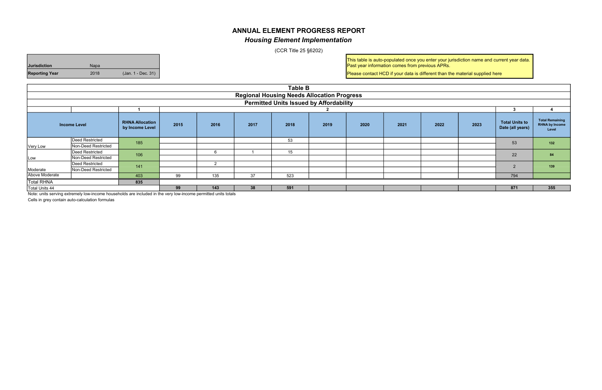Cells in grey contain auto-calculation formulas

|                                                | <b>Table B</b>                                                                                                 |                                           |      |                                                                                                           |    |     |   |  |    |  |    |                |                                                          |  |    |    |
|------------------------------------------------|----------------------------------------------------------------------------------------------------------------|-------------------------------------------|------|-----------------------------------------------------------------------------------------------------------|----|-----|---|--|----|--|----|----------------|----------------------------------------------------------|--|----|----|
|                                                | <b>Regional Housing Needs Allocation Progress</b>                                                              |                                           |      |                                                                                                           |    |     |   |  |    |  |    |                |                                                          |  |    |    |
| <b>Permitted Units Issued by Affordability</b> |                                                                                                                |                                           |      |                                                                                                           |    |     |   |  |    |  |    |                |                                                          |  |    |    |
|                                                |                                                                                                                |                                           |      |                                                                                                           |    |     |   |  |    |  |    |                |                                                          |  |    |    |
|                                                | <b>Income Level</b>                                                                                            | <b>RHNA Allocation</b><br>by Income Level | 2015 | <b>Total Units to</b><br>2019<br>2021<br>2022<br>2023<br>2016<br>2020<br>2017<br>2018<br>Date (all years) |    |     |   |  |    |  |    |                | <b>Total Remaining</b><br><b>RHNA by Income</b><br>Level |  |    |    |
|                                                | Deed Restricted                                                                                                | 185                                       | 53   |                                                                                                           |    |     |   |  |    |  | 53 | 132            |                                                          |  |    |    |
| Very Low                                       | Non-Deed Restricted                                                                                            |                                           |      |                                                                                                           |    |     |   |  |    |  |    |                |                                                          |  |    |    |
|                                                | Deed Restricted                                                                                                |                                           | 106  |                                                                                                           |    |     | 6 |  | 15 |  |    |                |                                                          |  | 22 | 84 |
| Low                                            | Non-Deed Restricted                                                                                            |                                           |      |                                                                                                           |    |     |   |  |    |  |    |                |                                                          |  |    |    |
|                                                | Deed Restricted                                                                                                | 141                                       |      | 2                                                                                                         |    |     |   |  |    |  |    | $\overline{2}$ | 139                                                      |  |    |    |
| Moderate                                       | Non-Deed Restricted                                                                                            |                                           |      |                                                                                                           |    |     |   |  |    |  |    |                |                                                          |  |    |    |
| Above Moderate                                 |                                                                                                                | 403                                       | 99   | 135                                                                                                       | 37 | 523 |   |  |    |  |    | 794            |                                                          |  |    |    |
| <b>Total RHNA</b>                              |                                                                                                                | 835                                       |      |                                                                                                           |    |     |   |  |    |  |    |                |                                                          |  |    |    |
| Total Units 44                                 |                                                                                                                |                                           | 99   | 143                                                                                                       | 38 | 591 |   |  |    |  |    | 871            | 355                                                      |  |    |    |
|                                                | Note: units serving extremely low-income households are included in the very low-income permitted units totals |                                           |      |                                                                                                           |    |     |   |  |    |  |    |                |                                                          |  |    |    |

## ANNUAL ELEMENT PROGRESS REPORT Housing Element Implementation

(CCR Title 25 §6202)

| <b>Jurisdiction</b> | <b>Napa</b> |                    |
|---------------------|-------------|--------------------|
| Reporting Year      | 2018        | (Jan. 1 - Dec. 31) |

This table is auto-populated once you enter your jurisdiction name and current year data. Past year information comes from previous APRs.

Please contact HCD if your data is different than the material supplied here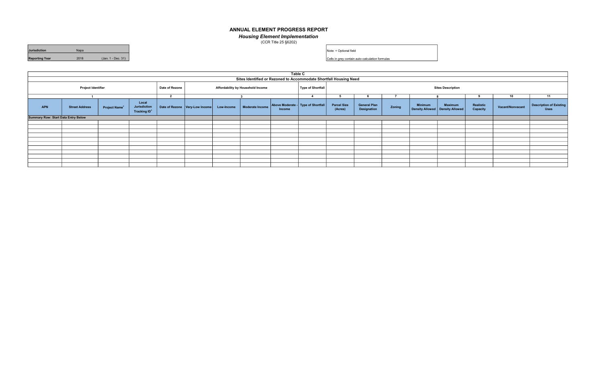| <b>Jurisdiction</b>   | Napa |                    |
|-----------------------|------|--------------------|
| <b>Reporting Year</b> | 2018 | (Jan. 1 - Dec. 31) |

|                                                                   | <b>Table C</b>        |                                 |                                                          |                |                                  |            |                                   |                                                     |                   |                               |                                    |        |                |                                                     |                       |                  |                                        |
|-------------------------------------------------------------------|-----------------------|---------------------------------|----------------------------------------------------------|----------------|----------------------------------|------------|-----------------------------------|-----------------------------------------------------|-------------------|-------------------------------|------------------------------------|--------|----------------|-----------------------------------------------------|-----------------------|------------------|----------------------------------------|
| Sites Identified or Rezoned to Accommodate Shortfall Housing Need |                       |                                 |                                                          |                |                                  |            |                                   |                                                     |                   |                               |                                    |        |                |                                                     |                       |                  |                                        |
|                                                                   | Project Identifier    |                                 |                                                          | Date of Rezone |                                  |            | Affordability by Household Income |                                                     | Type of Shortfall |                               |                                    |        |                | <b>Sites Description</b>                            |                       |                  |                                        |
|                                                                   |                       |                                 |                                                          | $\overline{2}$ |                                  |            |                                   |                                                     | 4                 |                               |                                    |        |                |                                                     | 9                     | 10               | 11                                     |
| <b>APN</b>                                                        | <b>Street Address</b> | <b>Project Name<sup>+</sup></b> | Local<br><b>Jurisdiction</b><br>Tracking ID <sup>+</sup> |                | Date of Rezone   Very-Low Income | Low-Income | Moderate Income                   | Above Moderate - Type of Shortfall<br><b>Income</b> |                   | <b>Parcel Size</b><br>(Acres) | <b>General Plan</b><br>Designation | Zoning | <b>Minimum</b> | <b>Maximum</b><br>Density Allowed   Density Allowed | Realistic<br>Capacity | Vacant/Nonvacant | Description of Existing<br><b>Uses</b> |
| Summary Row: Start Data Entry Below                               |                       |                                 |                                                          |                |                                  |            |                                   |                                                     |                   |                               |                                    |        |                |                                                     |                       |                  |                                        |
|                                                                   |                       |                                 |                                                          |                |                                  |            |                                   |                                                     |                   |                               |                                    |        |                |                                                     |                       |                  |                                        |
|                                                                   |                       |                                 |                                                          |                |                                  |            |                                   |                                                     |                   |                               |                                    |        |                |                                                     |                       |                  |                                        |
|                                                                   |                       |                                 |                                                          |                |                                  |            |                                   |                                                     |                   |                               |                                    |        |                |                                                     |                       |                  |                                        |
|                                                                   |                       |                                 |                                                          |                |                                  |            |                                   |                                                     |                   |                               |                                    |        |                |                                                     |                       |                  |                                        |
|                                                                   |                       |                                 |                                                          |                |                                  |            |                                   |                                                     |                   |                               |                                    |        |                |                                                     |                       |                  |                                        |
|                                                                   |                       |                                 |                                                          |                |                                  |            |                                   |                                                     |                   |                               |                                    |        |                |                                                     |                       |                  |                                        |
|                                                                   |                       |                                 |                                                          |                |                                  |            |                                   |                                                     |                   |                               |                                    |        |                |                                                     |                       |                  |                                        |
|                                                                   |                       |                                 |                                                          |                |                                  |            |                                   |                                                     |                   |                               |                                    |        |                |                                                     |                       |                  |                                        |
|                                                                   |                       |                                 |                                                          |                |                                  |            |                                   |                                                     |                   |                               |                                    |        |                |                                                     |                       |                  |                                        |
|                                                                   |                       |                                 |                                                          |                |                                  |            |                                   |                                                     |                   |                               |                                    |        |                |                                                     |                       |                  |                                        |
|                                                                   |                       |                                 |                                                          |                |                                  |            |                                   |                                                     |                   |                               |                                    |        |                |                                                     |                       |                  |                                        |

#### ANNUAL ELEMENT PROGRESS REPORT

Housing Element Implementation

(CCR Title 25 §6202)

Note: + Optional field

Cells in grey contain auto-calculation formulas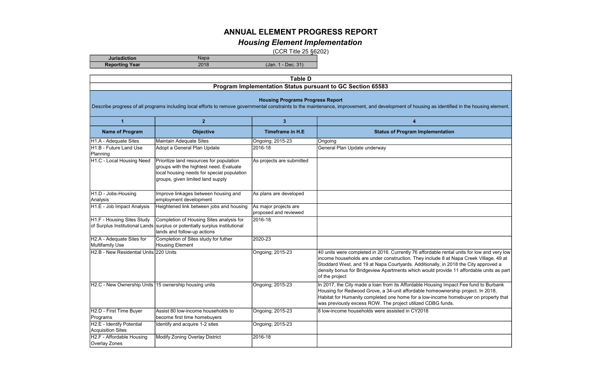| <b>Jurisdiction</b>   |                  |                       |
|-----------------------|------------------|-----------------------|
| <b>Reporting Year</b> | ດດ 4 ຕ<br>20 I O | $\mathbf{A}$<br>(Jan. |

 $T_{\text{ab}}$ <sub>D</sub>

|                                                                                                                                                                                                                                           | Table D                                                                                                                                                                |                                                |                                                                                                                                                                                                                                                                                                                                                                                         |  |  |  |  |  |  |
|-------------------------------------------------------------------------------------------------------------------------------------------------------------------------------------------------------------------------------------------|------------------------------------------------------------------------------------------------------------------------------------------------------------------------|------------------------------------------------|-----------------------------------------------------------------------------------------------------------------------------------------------------------------------------------------------------------------------------------------------------------------------------------------------------------------------------------------------------------------------------------------|--|--|--|--|--|--|
| Program Implementation Status pursuant to GC Section 65583                                                                                                                                                                                |                                                                                                                                                                        |                                                |                                                                                                                                                                                                                                                                                                                                                                                         |  |  |  |  |  |  |
| <b>Housing Programs Progress Report</b><br>Describe progress of all programs including local efforts to remove governmental constraints to the maintenance, improvement, and development of housing as identified in the housing element. |                                                                                                                                                                        |                                                |                                                                                                                                                                                                                                                                                                                                                                                         |  |  |  |  |  |  |
| $\blacktriangleleft$                                                                                                                                                                                                                      | $\overline{2}$                                                                                                                                                         | 3 <sup>2</sup>                                 | 4                                                                                                                                                                                                                                                                                                                                                                                       |  |  |  |  |  |  |
| <b>Name of Program</b>                                                                                                                                                                                                                    | <b>Objective</b>                                                                                                                                                       | <b>Timeframe in H.E</b>                        | <b>Status of Program Implementation</b>                                                                                                                                                                                                                                                                                                                                                 |  |  |  |  |  |  |
| H1.A - Adequate Sites                                                                                                                                                                                                                     | Maintain Adequate Sites                                                                                                                                                | Ongoing; 2015-23                               | Ongoing                                                                                                                                                                                                                                                                                                                                                                                 |  |  |  |  |  |  |
| H <sub>1</sub> .B - Future Land Use<br>Planning                                                                                                                                                                                           | Adopt a General Plan Update                                                                                                                                            | 2016-18                                        | General Plan Update underway                                                                                                                                                                                                                                                                                                                                                            |  |  |  |  |  |  |
| H1.C - Local Housing Need                                                                                                                                                                                                                 | Prioritize land resources for population<br>groups with the hightest need. Evaluate<br>local housing needs for special population<br>groups, given limited land supply | As projects are submitted                      |                                                                                                                                                                                                                                                                                                                                                                                         |  |  |  |  |  |  |
| H1.D - Jobs-Housing<br>Analysis                                                                                                                                                                                                           | Improve linkages between housing and<br>employment development                                                                                                         | As plans are developed                         |                                                                                                                                                                                                                                                                                                                                                                                         |  |  |  |  |  |  |
| H1.E - Job Impact Analysis                                                                                                                                                                                                                | Heightened link between jobs and housing                                                                                                                               | As major projects are<br>proposed and reviewed |                                                                                                                                                                                                                                                                                                                                                                                         |  |  |  |  |  |  |
| H1.F - Housing Sites Study                                                                                                                                                                                                                | Completion of Housing Sites analysis for<br>of Surplus Institutional Lands surplus or potentially surplus institutional<br>lands and follow-up actions                 | 2016-18                                        |                                                                                                                                                                                                                                                                                                                                                                                         |  |  |  |  |  |  |
| H2.A - Adequate Sites for<br>Multifamily Use                                                                                                                                                                                              | Completion of Sites study for futher<br>Housing Element                                                                                                                | 2020-23                                        |                                                                                                                                                                                                                                                                                                                                                                                         |  |  |  |  |  |  |
| H <sub>2</sub> .B - New Residential Units 220 Units                                                                                                                                                                                       |                                                                                                                                                                        | Ongoing; 2015-23                               | 40 units were completed in 2016. Currently 76 affordable rental units for low and very low<br>income households are under construction. They include 8 at Napa Creek Village, 49 at<br>Stoddard West, and 19 at Napa Courtyards. Additionally, in 2018 the City approved a<br>density bonus for Bridgeview Apartments which would provide 11 affordable units as part<br>of the project |  |  |  |  |  |  |
| H2.C - New Ownership Units 15 ownership housing units                                                                                                                                                                                     |                                                                                                                                                                        | Ongoing; 2015-23                               | In 2017, the City made a loan from its Affordable Housing Impact Fee fund to Burbank<br>Housing for Redwood Grove, a 34-unit affordable homeownership project. In 2018,<br>Habitat for Humanity completed one home for a low-income homebuyer on property that<br>was previously excess ROW. The project utilized CDBG funds.                                                           |  |  |  |  |  |  |
| H2.D - First Time Buyer<br>Programs                                                                                                                                                                                                       | Assist 80 low-income households to<br>become first time homebuyers                                                                                                     | Ongoing; 2015-23                               | 8 low-income households were assisted in CY2018                                                                                                                                                                                                                                                                                                                                         |  |  |  |  |  |  |
| H2.E - Identify Potential<br><b>Acquisition Sites</b>                                                                                                                                                                                     | Identify and acquire 1-2 sites                                                                                                                                         | Ongoing; 2015-23                               |                                                                                                                                                                                                                                                                                                                                                                                         |  |  |  |  |  |  |
| H2.F - Affordable Housing<br>Overlay Zones                                                                                                                                                                                                | Modify Zoning Overlay District                                                                                                                                         | 2016-18                                        |                                                                                                                                                                                                                                                                                                                                                                                         |  |  |  |  |  |  |

# ANNUAL ELEMENT PROGRESS REPORT

## Housing Element Implementation

(CCR Title 25 §6202)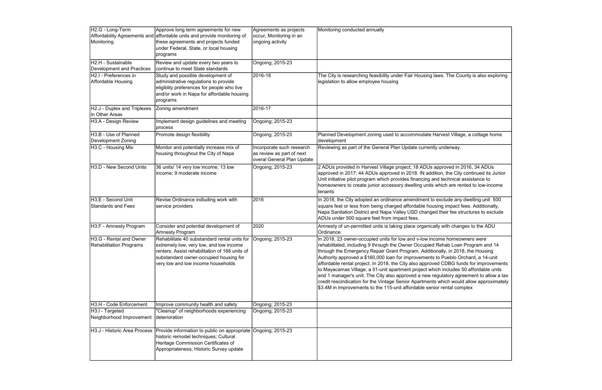| H <sub>2</sub> .G - Long-Term<br>Monitoring               | Approve long term agreements for new<br>Affordability Agreements and affordable units and provide monitoring of<br>these agreements and projects funded<br>under Federal, State, or local housing<br>programs             | Agreements as projects<br>occur, Monitoring in an<br>ongoing activity                | Monitoring conducted annually                                                                                                                                                                                                                                                                                                                                                                                                                                                                                                                                                                                                                                                                                                                                                         |
|-----------------------------------------------------------|---------------------------------------------------------------------------------------------------------------------------------------------------------------------------------------------------------------------------|--------------------------------------------------------------------------------------|---------------------------------------------------------------------------------------------------------------------------------------------------------------------------------------------------------------------------------------------------------------------------------------------------------------------------------------------------------------------------------------------------------------------------------------------------------------------------------------------------------------------------------------------------------------------------------------------------------------------------------------------------------------------------------------------------------------------------------------------------------------------------------------|
| H2.H - Sustainable<br><b>Development and Practices</b>    | Review and update every two years to<br>continue to meet State standards                                                                                                                                                  | Ongoing; 2015-23                                                                     |                                                                                                                                                                                                                                                                                                                                                                                                                                                                                                                                                                                                                                                                                                                                                                                       |
| H2.I - Preferences in<br>Affordable Housing               | Study and possible development of<br>administrative regulations to provide<br>eligiblity preferences for people who live<br>and/or work in Napa for affordable housing<br>programs                                        | 2016-18                                                                              | The City is researching feasibility under Fair Housing laws. The County is also exploring<br>legislation to allow employee housing                                                                                                                                                                                                                                                                                                                                                                                                                                                                                                                                                                                                                                                    |
| H2.J - Duplex and Triplexes<br>in Other Areas             | Zoning amendment                                                                                                                                                                                                          | 2016-17                                                                              |                                                                                                                                                                                                                                                                                                                                                                                                                                                                                                                                                                                                                                                                                                                                                                                       |
| H3.A - Design Review                                      | Implement design guidelines and meeting<br>process                                                                                                                                                                        | Ongoing; 2015-23                                                                     |                                                                                                                                                                                                                                                                                                                                                                                                                                                                                                                                                                                                                                                                                                                                                                                       |
| H3.B - Use of Planned<br>Development Zoning               | Promote design flexibility                                                                                                                                                                                                | Ongoing; 2015-23                                                                     | Planned Development zoning used to accommodate Harvest Village, a cottage home<br>development                                                                                                                                                                                                                                                                                                                                                                                                                                                                                                                                                                                                                                                                                         |
| H3.C - Housing Mix                                        | Monitor and potentially increase mix of<br>housing throughout the City of Napa                                                                                                                                            | Incorporate such research<br>as review as part of next<br>overal General Plan Update | Reviewing as part of the General Plan Update currently underway.                                                                                                                                                                                                                                                                                                                                                                                                                                                                                                                                                                                                                                                                                                                      |
| H3.D - New Second Units                                   | 36 units/ 14 very low income; 13 low<br>income; 9 moderate income                                                                                                                                                         | Ongoing; 2015-23                                                                     | 2 ADUs provided in Harvest Village project; 18 ADUs approved in 2016, 34 ADUs<br>approved in 2017; 44 ADUs approved in 2018. IN addition, the City continued its Junior<br>Unit initiative pilot program which provides financing and technical assistance to<br>homeowners to create junior accessory dwelling units which are rented to low-income<br>Itenants                                                                                                                                                                                                                                                                                                                                                                                                                      |
| H3.E - Second Unit<br><b>Standards and Fees</b>           | Revise Ordinance indluding work with<br>service providers                                                                                                                                                                 | 2016                                                                                 | In 2018, the City adopted an ordinance amendment to exclude any dwelling unit 500<br>square feet or less from being charged affordable housing impact fees. Additionally,<br>Napa Sanitation District and Napa Valley USD changed their fee structures to exclude<br>ADUs under 500 square feet from impact fees.                                                                                                                                                                                                                                                                                                                                                                                                                                                                     |
| H3.F - Amnesty Program                                    | Consider and potential development of<br><b>Amnesty Program</b>                                                                                                                                                           | 2020                                                                                 | Amnesty of un-permitted units is taking place organically with changes to the ADU<br>Ordinance.                                                                                                                                                                                                                                                                                                                                                                                                                                                                                                                                                                                                                                                                                       |
| H3.G - Rental and Owner<br><b>Rehabilitation Programs</b> | Rehabilitate 40 substandard rental units for<br>extremely low, very low, and low income<br>renters. Assist rehabilitation of 168 units of<br>substandard owner-occupied housing for<br>very low and low income households | Ongoing; 2015-23                                                                     | In 2018, 23 owner-occupied units for low and v-low income homeowners were<br>rehabilitated, including 9 through the Owner Occupied Rehab Loan Program and 14<br>through the Emergency Repair Grant Program. Additionally, in 2018, the Housing<br>Authority approved a \$160,000 loan for improvements to Pueblo Orchard, a 14-unit<br>affordable rental project. In 2018, the City also approved CDBG funds for improvements<br>to Mayacamas Village, a 51-unit apartment project which includes 50 affordable units<br>and 1 manager's unit. The City also approved a new regulatory agreement to allow a tax<br>credit rescindication for the Vintage Senior Apartments which would allow approximately<br>\$3.4M in improvements to the 115-unit affordable senior rental complex |
| H3.H - Code Enforcement                                   | Improve community health and safety                                                                                                                                                                                       | Ongoing; 2015-23                                                                     |                                                                                                                                                                                                                                                                                                                                                                                                                                                                                                                                                                                                                                                                                                                                                                                       |
| H3.I - Targeted<br>Neighborhood Improvement deterioration | "Cleanup" of neighborhoods experiencing                                                                                                                                                                                   | Ongoing; 2015-23                                                                     |                                                                                                                                                                                                                                                                                                                                                                                                                                                                                                                                                                                                                                                                                                                                                                                       |
| H3.J - Historic Area Process                              | Provide information to public on appropriate Ongoing; 2015-23<br>historic remodel techniques; Cultural<br>Heritage Commission Certificates of<br>Appropriateness; Historic Survey update                                  |                                                                                      |                                                                                                                                                                                                                                                                                                                                                                                                                                                                                                                                                                                                                                                                                                                                                                                       |

| /s. The County is also exploring |
|----------------------------------|
|                                  |
|                                  |
|                                  |
|                                  |
|                                  |
|                                  |
|                                  |
|                                  |
|                                  |
|                                  |
| vest Village, a cottage home     |
|                                  |
| underway.                        |
|                                  |
|                                  |
|                                  |
| proved in 2016, 34 ADUs          |
| n, the City continued its Junior |
| technical assistance to          |
|                                  |
| nich are rented to low-income    |
|                                  |
| xclude any dwelling unit 500     |
| ng impact fees. Additionally,    |
|                                  |
| their fee structures to exclude  |
|                                  |
| with changes to the ADU          |
|                                  |
|                                  |
| ne homeowners were               |
| ehab Loan Program and 14         |
| ally, in 2018, the Housing       |
| Pueblo Orchard, a 14-unit        |
| CDBG funds for improvements      |
|                                  |
| i includes 50 affordable units   |
| ulatory agreement to allow a tax |
| vhich would allow approximately  |
| rental complex                   |
|                                  |
|                                  |
|                                  |
|                                  |
|                                  |
|                                  |
|                                  |
|                                  |
|                                  |
|                                  |
|                                  |
|                                  |
|                                  |
|                                  |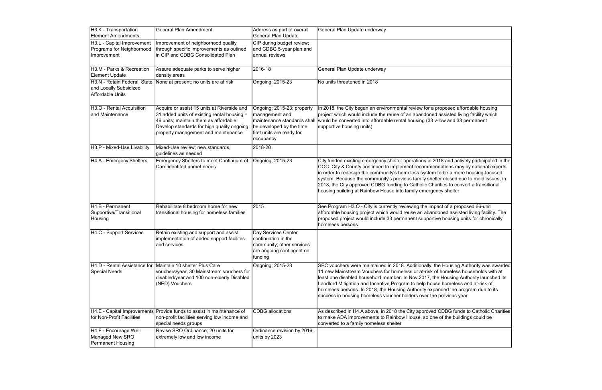| H3.K - Transportation<br><b>Element Amendments</b>                                 | <b>General Plan Amendment</b>                                                                                                                                                                                             | Address as part of overall<br>General Plan Update                                                                                                 | General Plan Update underway                                                                                                                                                                                                                                                                                                                                                                                                                                                                                             |
|------------------------------------------------------------------------------------|---------------------------------------------------------------------------------------------------------------------------------------------------------------------------------------------------------------------------|---------------------------------------------------------------------------------------------------------------------------------------------------|--------------------------------------------------------------------------------------------------------------------------------------------------------------------------------------------------------------------------------------------------------------------------------------------------------------------------------------------------------------------------------------------------------------------------------------------------------------------------------------------------------------------------|
| H3.L - Capital Improvement<br>Programs for Neighborhood<br>Improvement             | Improvement of neighborhood quality<br>through specific improvements as outined<br>in CIP and CDBG Consolidated Plan                                                                                                      | CIP during budget review;<br>and CDBG 5-year plan and<br>annual reviews                                                                           |                                                                                                                                                                                                                                                                                                                                                                                                                                                                                                                          |
| H3.M - Parks & Recreation<br><b>Element Update</b>                                 | Assure adequate parks to serve higher<br>density areas                                                                                                                                                                    | 2016-18                                                                                                                                           | General Plan Update underway                                                                                                                                                                                                                                                                                                                                                                                                                                                                                             |
| H3.N - Retain Federal, State,<br>and Locally Subsidized<br><b>Affordable Units</b> | None at present; no units are at risk                                                                                                                                                                                     | Ongoing; 2015-23                                                                                                                                  | No units threatened in 2018                                                                                                                                                                                                                                                                                                                                                                                                                                                                                              |
| H3.O - Rental Acquisition<br>and Maintenance                                       | Acquire or assist 15 units at Riverside and<br>31 added units of existing rental housing =<br>46 units; maintain them as affordable.<br>Develop standards for high quality ongoing<br>property management and maintenance | Ongoing; 2015-23; property<br>management and<br>maintenance standards shall<br>be developed by the time<br>first units are ready for<br>occupancy | In 2018, the City began an environmental review for a proposed affordable housing<br>project which would include the reuse of an abandoned assisted living facility which<br>would be converted into affordable rental housing (33 v-low and 33 permanent<br>supportive housing units)                                                                                                                                                                                                                                   |
| H3.P - Mixed-Use Livability                                                        | Mixed-Use review; new standards,<br>guidelines as needed                                                                                                                                                                  | 2018-20                                                                                                                                           |                                                                                                                                                                                                                                                                                                                                                                                                                                                                                                                          |
| H4.A - Emergecy Shelters                                                           | Emergency Shelters to meet Continuum of<br>Care identifed unmet needs                                                                                                                                                     | Ongoing; 2015-23                                                                                                                                  | City funded existing emergency shelter operations in 2018 and actively participated in the<br>COC. City & County continued to implement recommendations may by national experts<br>in order to redesign the community's homeless system to be a more housing-focused<br>system. Because the community's previous family shelter closed due to mold issues, in<br>2018, the City approved CDBG funding to Catholic Charities to convert a transitional<br>housing building at Rainbow House into family emergency shelter |
| H4.B - Permanent<br>Supportive/Transitional<br>Housing                             | Rehabilitate 8 bedroom home for new<br>transitional housing for homeless families                                                                                                                                         | 2015                                                                                                                                              | See Program H3.O - City is currently reviewing the impact of a proposed 66-unit<br>affordable housing project which would reuse an abandoned assisted living facility. The<br>proposed project would include 33 permanent supportive housing units for chronically<br>homeless persons.                                                                                                                                                                                                                                  |
| H4.C - Support Services                                                            | Retain existing and support and assist<br>implementation of added support facilites<br>and services                                                                                                                       | Day Services Center<br>continuation in the<br>community; other services<br>are ongoing contingent on<br>funding                                   |                                                                                                                                                                                                                                                                                                                                                                                                                                                                                                                          |
| <b>Special Needs</b>                                                               | H4.D - Rental Assistance for Maintain 10 shelter Plus Care<br>vouchers/year, 30 Mainstream vouchers for<br>disabled/year and 100 non-elderly Disabled<br>(NED) Vouchers                                                   | Ongoing; 2015-23                                                                                                                                  | SPC vouchers were maintained in 2018. Additionally, the Housing Authority was awarded<br>11 new Mainstream Vouchers for homeless or at-risk of homeless households with at<br>least one disabled household member. In Nov 2017, the Housing Authority launched its<br>Landlord Mitigation and Incentive Program to help house homeless and at-risk of<br>homeless persons. In 2018, the Housing Authority expanded the program due to its<br>success in housing homeless voucher holders over the previous year          |
| H4.E - Capital Improvements<br>for Non-Profit Facilities                           | Provide funds to assist in maintenance of<br>non-profit facilities serving low income and<br>special needs groups                                                                                                         | <b>CDBG</b> allocations                                                                                                                           | As described in H4.A above, in 2018 the City approved CDBG funds to Catholic Charities<br>to make ADA improvements to Rainbow House, so one of the buildings could be<br>converted to a family homeless shelter                                                                                                                                                                                                                                                                                                          |
| H4.F - Encourage Well<br>Managed New SRO<br><b>Permanent Housing</b>               | Revise SRO Ordinance; 20 units for<br>extremely low and low income                                                                                                                                                        | Ordinance revision by 2016;<br>units by 2023                                                                                                      |                                                                                                                                                                                                                                                                                                                                                                                                                                                                                                                          |

| roposed affordable housing<br>assisted living facility which<br>-low and 33 permanent                                                                                                         |
|-----------------------------------------------------------------------------------------------------------------------------------------------------------------------------------------------|
| 18 and actively participated in the<br>dations may by national experts<br>to be a more housing-focused<br>er closed due to mold issues, in<br>rities to convert a transitional<br>าcy shelter |
| act of a proposed 66-unit<br>oned assisted living facility. The<br>e housing units for chronically                                                                                            |
|                                                                                                                                                                                               |
| e Housing Authority was awarded<br>f homeless households with at<br>e Housing Authority launched its<br>e homeless and at-risk of<br>inded the program due to its<br>previous year            |
| <b>CDBG funds to Catholic Charities</b><br>of the buildings could be                                                                                                                          |
|                                                                                                                                                                                               |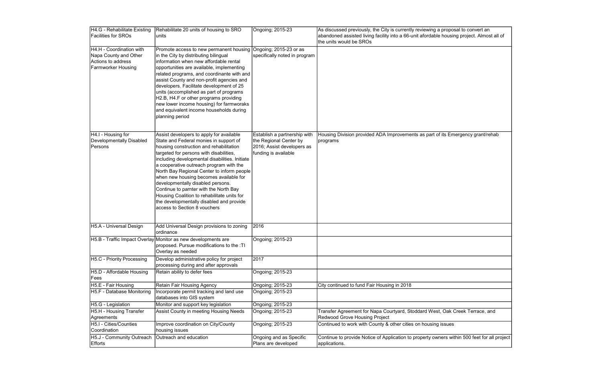| H4.G - Rehabilitate Existing      | Rehabilitate 20 units of housing to SRO                                            | Ongoing; 2015-23                                   | As discussed previously, the City is currently reviewing a proposal to convert an          |
|-----------------------------------|------------------------------------------------------------------------------------|----------------------------------------------------|--------------------------------------------------------------------------------------------|
| <b>Facilities for SROs</b>        | Iunits                                                                             |                                                    | abandoned assisted living facility into a 66-unit afordable housing project. Almost all of |
|                                   |                                                                                    |                                                    | the units would be SROs                                                                    |
| H4.H - Coordination with          | Promote access to new permanent housing Ongoing; 2015-23 or as                     |                                                    |                                                                                            |
| Napa County and Other             | in the City by distributing bilingual                                              | specifically noted in program                      |                                                                                            |
| Actions to address                | Information when new affordable rental                                             |                                                    |                                                                                            |
| <b>Farmworker Housing</b>         | opportunities are available, implementing                                          |                                                    |                                                                                            |
|                                   | related programs, and coordinante with and                                         |                                                    |                                                                                            |
|                                   | assist County and non-profit agencies and                                          |                                                    |                                                                                            |
|                                   | developers. Facilitate development of 25                                           |                                                    |                                                                                            |
|                                   | units (accomplished as part of programs                                            |                                                    |                                                                                            |
|                                   | H2.B, H4.F or other programs providing                                             |                                                    |                                                                                            |
|                                   | new lower income housing) for farmworaks                                           |                                                    |                                                                                            |
|                                   | and equivalent income households during                                            |                                                    |                                                                                            |
|                                   | planning period                                                                    |                                                    |                                                                                            |
|                                   |                                                                                    |                                                    |                                                                                            |
|                                   |                                                                                    |                                                    |                                                                                            |
| H4.I - Housing for                | Assist developers to apply for available                                           | Establish a partnership with                       | Housing Division provided ADA Improvements as part of its Emergency grant/rehab            |
| Developmentally Disabled          | State and Federal monies in support of                                             | the Regional Center by                             | programs                                                                                   |
| Persons                           | housing construction and rehabilitation<br>targeted for persons with disabilities, | 2016; Assist developers as<br>funding is available |                                                                                            |
|                                   | including developmental disabilities. Initiate                                     |                                                    |                                                                                            |
|                                   | a cooperative outreach program with the                                            |                                                    |                                                                                            |
|                                   | North Bay Regional Center to inform people                                         |                                                    |                                                                                            |
|                                   | when new housing becomes available for                                             |                                                    |                                                                                            |
|                                   | developmentally disabled persons.                                                  |                                                    |                                                                                            |
|                                   | Continue to parnter with the North Bay                                             |                                                    |                                                                                            |
|                                   | Housing Coalition to rehabilitate units for                                        |                                                    |                                                                                            |
|                                   | the developmentally disabled and provide                                           |                                                    |                                                                                            |
|                                   | access to Section 8 vouchers                                                       |                                                    |                                                                                            |
|                                   |                                                                                    |                                                    |                                                                                            |
|                                   |                                                                                    |                                                    |                                                                                            |
| H5.A - Universal Design           | Add Universal Design provisions to zoning                                          | 2016                                               |                                                                                            |
|                                   | ordinance                                                                          |                                                    |                                                                                            |
|                                   | H5.B - Traffic Impact Overlay Monitor as new developments are                      | Ongoing; 2015-23                                   |                                                                                            |
|                                   | proposed. Pursue modifications to the :TI                                          |                                                    |                                                                                            |
|                                   | Overlay as needed                                                                  |                                                    |                                                                                            |
| <b>H5.C - Priority Processing</b> | Develop administrative policy for project                                          | 2017                                               |                                                                                            |
|                                   | processing during and after approvals                                              |                                                    |                                                                                            |
| H5.D - Affordable Housing         | Retain ability to defer fees                                                       | Ongoing; 2015-23                                   |                                                                                            |
| Fees                              |                                                                                    |                                                    |                                                                                            |
| H5.E - Fair Housing               | <b>Retain Fair Housing Agency</b>                                                  | Ongoing; 2015-23                                   | City continued to fund Fair Housing in 2018                                                |
| H5.F - Database Monitoring        | Incorporate permit tracking and land use                                           | Ongoing; 2015-23                                   |                                                                                            |
|                                   | databases into GIS system                                                          |                                                    |                                                                                            |
| H5.G - Legislation                | Monitor and support key legislation                                                | Ongoing; 2015-23                                   |                                                                                            |
| H5.H - Housing Transfer           | Assist County in meeting Housing Needs                                             | Ongoing; 2015-23                                   | Transfer Agreement for Napa Courtyard, Stoddard West, Oak Creek Terrace, and               |
| Agreements                        |                                                                                    |                                                    | Redwood Grove Housing Project                                                              |
| H5.I - Cities/Counties            | Improve coordination on City/County                                                | Ongoing; 2015-23                                   | Continued to work with County & other cities on housing issues                             |
| Coordination                      | housing issues                                                                     |                                                    |                                                                                            |
| H5.J - Community Outreach         | Outreach and education                                                             | Ongoing and as Specific                            | Continue to provide Notice of Application to property owners within 500 feet for all proje |
| Efforts                           |                                                                                    | Plans are developed                                | applications.                                                                              |
|                                   |                                                                                    |                                                    |                                                                                            |

| a proposal to convert an<br>e housing project. Almost all of |
|--------------------------------------------------------------|
|                                                              |
|                                                              |
|                                                              |
|                                                              |
|                                                              |
| of its Emergency grant/rehab                                 |
|                                                              |
|                                                              |
|                                                              |
|                                                              |
|                                                              |
|                                                              |
|                                                              |
|                                                              |
|                                                              |
|                                                              |
| st, Oak Creek Terrace, and                                   |
| g issues                                                     |
| wners within 500 feet for all project                        |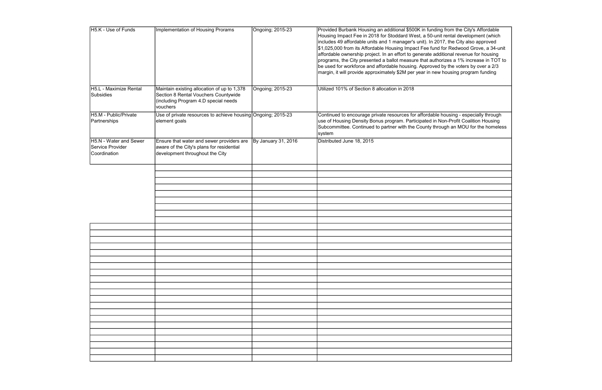| H5.K - Use of Funds                                        | Implementation of Housing Prorams                                                                                                       | Ongoing; 2015-23    | Provided Burbank Housing an additional \$500K in funding from the City's Affordable<br>Housing Impact Fee in 2018 for Stoddard West, a 50-unit rental development (which<br>includes 49 affordable units and 1 manager's unit). In 2017, the City also approved<br>\$1,025,000 from its Affordable Housing Impact Fee fund for Redwood Grove, a 34-unit<br>affordable ownership project. In an effort to generate additional revenue for housing<br>programs, the City presented a ballot measure that authorizes a 1% increase in TOT to<br>be used for workforce and affordable housing. Approved by the voters by over a 2/3<br>margin, it will provide approximately \$2M per year in new housing program funding |
|------------------------------------------------------------|-----------------------------------------------------------------------------------------------------------------------------------------|---------------------|-----------------------------------------------------------------------------------------------------------------------------------------------------------------------------------------------------------------------------------------------------------------------------------------------------------------------------------------------------------------------------------------------------------------------------------------------------------------------------------------------------------------------------------------------------------------------------------------------------------------------------------------------------------------------------------------------------------------------|
| H5.L - Maximize Rental<br>Subsidies                        | Maintain existing allocation of up to 1,378<br>Section 8 Rental Vouchers Countywide<br>(including Program 4.D special needs<br>vouchers | Ongoing; 2015-23    | Utilized 101% of Section 8 allocation in 2018                                                                                                                                                                                                                                                                                                                                                                                                                                                                                                                                                                                                                                                                         |
| H5.M - Public/Private<br>Partnerships                      | Use of private resources to achieve housing Ongoing; 2015-23<br>element goals                                                           |                     | Continued to encourage private resources for affordable housing - especially through<br>use of Housing Density Bonus program. Participated in Non-Profit Coalition Housing<br>Subcommittee. Continued to partner with the County through an MOU for the homeless<br>system                                                                                                                                                                                                                                                                                                                                                                                                                                            |
| H5.N - Water and Sewer<br>Service Provider<br>Coordination | Ensure that water and sewer providers are<br>aware of the City's plans for residential<br>development throughout the City               | By January 31, 2016 | Distributed June 18, 2015                                                                                                                                                                                                                                                                                                                                                                                                                                                                                                                                                                                                                                                                                             |
|                                                            |                                                                                                                                         |                     |                                                                                                                                                                                                                                                                                                                                                                                                                                                                                                                                                                                                                                                                                                                       |
|                                                            |                                                                                                                                         |                     |                                                                                                                                                                                                                                                                                                                                                                                                                                                                                                                                                                                                                                                                                                                       |
|                                                            |                                                                                                                                         |                     |                                                                                                                                                                                                                                                                                                                                                                                                                                                                                                                                                                                                                                                                                                                       |
|                                                            |                                                                                                                                         |                     |                                                                                                                                                                                                                                                                                                                                                                                                                                                                                                                                                                                                                                                                                                                       |
|                                                            |                                                                                                                                         |                     |                                                                                                                                                                                                                                                                                                                                                                                                                                                                                                                                                                                                                                                                                                                       |
|                                                            |                                                                                                                                         |                     |                                                                                                                                                                                                                                                                                                                                                                                                                                                                                                                                                                                                                                                                                                                       |
|                                                            |                                                                                                                                         |                     |                                                                                                                                                                                                                                                                                                                                                                                                                                                                                                                                                                                                                                                                                                                       |
|                                                            |                                                                                                                                         |                     |                                                                                                                                                                                                                                                                                                                                                                                                                                                                                                                                                                                                                                                                                                                       |
|                                                            |                                                                                                                                         |                     |                                                                                                                                                                                                                                                                                                                                                                                                                                                                                                                                                                                                                                                                                                                       |
|                                                            |                                                                                                                                         |                     |                                                                                                                                                                                                                                                                                                                                                                                                                                                                                                                                                                                                                                                                                                                       |
|                                                            |                                                                                                                                         |                     |                                                                                                                                                                                                                                                                                                                                                                                                                                                                                                                                                                                                                                                                                                                       |
|                                                            |                                                                                                                                         |                     |                                                                                                                                                                                                                                                                                                                                                                                                                                                                                                                                                                                                                                                                                                                       |
|                                                            |                                                                                                                                         |                     |                                                                                                                                                                                                                                                                                                                                                                                                                                                                                                                                                                                                                                                                                                                       |
|                                                            |                                                                                                                                         |                     |                                                                                                                                                                                                                                                                                                                                                                                                                                                                                                                                                                                                                                                                                                                       |
|                                                            |                                                                                                                                         |                     |                                                                                                                                                                                                                                                                                                                                                                                                                                                                                                                                                                                                                                                                                                                       |
|                                                            |                                                                                                                                         |                     |                                                                                                                                                                                                                                                                                                                                                                                                                                                                                                                                                                                                                                                                                                                       |
|                                                            |                                                                                                                                         |                     |                                                                                                                                                                                                                                                                                                                                                                                                                                                                                                                                                                                                                                                                                                                       |
|                                                            |                                                                                                                                         |                     |                                                                                                                                                                                                                                                                                                                                                                                                                                                                                                                                                                                                                                                                                                                       |
|                                                            |                                                                                                                                         |                     |                                                                                                                                                                                                                                                                                                                                                                                                                                                                                                                                                                                                                                                                                                                       |
|                                                            |                                                                                                                                         |                     |                                                                                                                                                                                                                                                                                                                                                                                                                                                                                                                                                                                                                                                                                                                       |
|                                                            |                                                                                                                                         |                     |                                                                                                                                                                                                                                                                                                                                                                                                                                                                                                                                                                                                                                                                                                                       |
|                                                            |                                                                                                                                         |                     |                                                                                                                                                                                                                                                                                                                                                                                                                                                                                                                                                                                                                                                                                                                       |
|                                                            |                                                                                                                                         |                     |                                                                                                                                                                                                                                                                                                                                                                                                                                                                                                                                                                                                                                                                                                                       |
|                                                            |                                                                                                                                         |                     |                                                                                                                                                                                                                                                                                                                                                                                                                                                                                                                                                                                                                                                                                                                       |
|                                                            |                                                                                                                                         |                     |                                                                                                                                                                                                                                                                                                                                                                                                                                                                                                                                                                                                                                                                                                                       |
|                                                            |                                                                                                                                         |                     |                                                                                                                                                                                                                                                                                                                                                                                                                                                                                                                                                                                                                                                                                                                       |
|                                                            |                                                                                                                                         |                     |                                                                                                                                                                                                                                                                                                                                                                                                                                                                                                                                                                                                                                                                                                                       |
|                                                            |                                                                                                                                         |                     |                                                                                                                                                                                                                                                                                                                                                                                                                                                                                                                                                                                                                                                                                                                       |
|                                                            |                                                                                                                                         |                     |                                                                                                                                                                                                                                                                                                                                                                                                                                                                                                                                                                                                                                                                                                                       |

ng from the City's Affordable<sup>;</sup> it rental development (which by the voters by over a 2/3  $\nu$  housing program funding housing - especially through Ion-Profit Coalition Housing  $\mathop{\mathsf{augh}}\nolimits$  an MOU for the homeless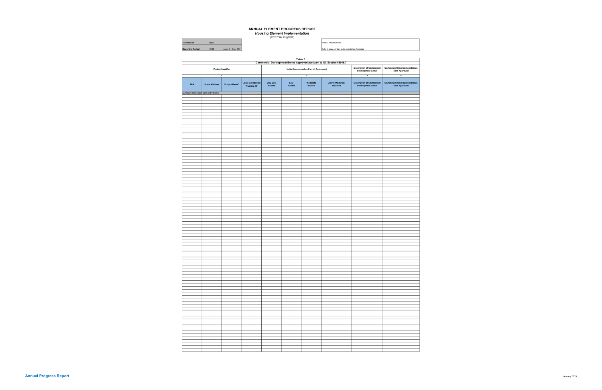| <b>Jurisdiction</b>     | Napa |  |
|-------------------------|------|--|
| <b>Penorting Period</b> | 2018 |  |

|                                     |                       |                           |                                                                                                                |                    | Table E         |                                                        |                                               |                                                        |                                                       |
|-------------------------------------|-----------------------|---------------------------|----------------------------------------------------------------------------------------------------------------|--------------------|-----------------|--------------------------------------------------------|-----------------------------------------------|--------------------------------------------------------|-------------------------------------------------------|
| Project Identifier                  |                       |                           | Commercial Development Bonus Approved pursuant to GC Section 65915.7<br>Units Constructed as Part of Agreement |                    |                 | <b>Description of Commercial<br/>Development Bonus</b> | Commercial Development Bonus<br>Date Approved |                                                        |                                                       |
|                                     |                       | $\overline{1}$            |                                                                                                                |                    |                 | $\overline{2}$                                         |                                               | $\overline{\mathbf{3}}$                                | $\overline{4}$                                        |
| <b>APN</b>                          | <b>Street Address</b> | Project Name <sup>+</sup> | Local Jurisdiction<br>Tracking ID <sup>+</sup>                                                                 | Very Low<br>Income | Low<br>$Income$ | Moderate<br>Income                                     | Above Moderate<br>Income4                     | <b>Description of Commercial<br/>Development Bonus</b> | <b>Commercial Development Bonus<br/>Date Approved</b> |
| Summary Row: Start Data Entry Below |                       |                           |                                                                                                                |                    |                 |                                                        |                                               |                                                        |                                                       |
|                                     |                       |                           |                                                                                                                |                    |                 |                                                        |                                               |                                                        |                                                       |
|                                     |                       |                           |                                                                                                                |                    |                 |                                                        |                                               |                                                        |                                                       |
|                                     |                       |                           |                                                                                                                |                    |                 |                                                        |                                               |                                                        |                                                       |
|                                     |                       |                           |                                                                                                                |                    |                 |                                                        |                                               |                                                        |                                                       |
|                                     |                       |                           |                                                                                                                |                    |                 |                                                        |                                               |                                                        |                                                       |
|                                     |                       |                           |                                                                                                                |                    |                 |                                                        |                                               |                                                        |                                                       |
|                                     |                       |                           |                                                                                                                |                    |                 |                                                        |                                               |                                                        |                                                       |
|                                     |                       |                           |                                                                                                                |                    |                 |                                                        |                                               |                                                        |                                                       |
|                                     |                       |                           |                                                                                                                |                    |                 |                                                        |                                               |                                                        |                                                       |
|                                     |                       |                           |                                                                                                                |                    |                 |                                                        |                                               |                                                        |                                                       |
|                                     |                       |                           |                                                                                                                |                    |                 |                                                        |                                               |                                                        |                                                       |
|                                     |                       |                           |                                                                                                                |                    |                 |                                                        |                                               |                                                        |                                                       |
|                                     |                       |                           |                                                                                                                |                    |                 |                                                        |                                               |                                                        |                                                       |
|                                     |                       |                           |                                                                                                                |                    |                 |                                                        |                                               |                                                        |                                                       |
|                                     |                       |                           |                                                                                                                |                    |                 |                                                        |                                               |                                                        |                                                       |
|                                     |                       |                           |                                                                                                                |                    |                 |                                                        |                                               |                                                        |                                                       |
|                                     |                       |                           |                                                                                                                |                    |                 |                                                        |                                               |                                                        |                                                       |
|                                     |                       |                           |                                                                                                                |                    |                 |                                                        |                                               |                                                        |                                                       |
|                                     |                       |                           |                                                                                                                |                    |                 |                                                        |                                               |                                                        |                                                       |
|                                     |                       |                           |                                                                                                                |                    |                 |                                                        |                                               |                                                        |                                                       |
|                                     |                       |                           |                                                                                                                |                    |                 |                                                        |                                               |                                                        |                                                       |
|                                     |                       |                           |                                                                                                                |                    |                 |                                                        |                                               |                                                        |                                                       |
|                                     |                       |                           |                                                                                                                |                    |                 |                                                        |                                               |                                                        |                                                       |
|                                     |                       |                           |                                                                                                                |                    |                 |                                                        |                                               |                                                        |                                                       |
|                                     |                       |                           |                                                                                                                |                    |                 |                                                        |                                               |                                                        |                                                       |
|                                     |                       |                           |                                                                                                                |                    |                 |                                                        |                                               |                                                        |                                                       |
|                                     |                       |                           |                                                                                                                |                    |                 |                                                        |                                               |                                                        |                                                       |
|                                     |                       |                           |                                                                                                                |                    |                 |                                                        |                                               |                                                        |                                                       |
|                                     |                       |                           |                                                                                                                |                    |                 |                                                        |                                               |                                                        |                                                       |
|                                     |                       |                           |                                                                                                                |                    |                 |                                                        |                                               |                                                        |                                                       |
|                                     |                       |                           |                                                                                                                |                    |                 |                                                        |                                               |                                                        |                                                       |
|                                     |                       |                           |                                                                                                                |                    |                 |                                                        |                                               |                                                        |                                                       |
|                                     |                       |                           |                                                                                                                |                    |                 |                                                        |                                               |                                                        |                                                       |
|                                     |                       |                           |                                                                                                                |                    |                 |                                                        |                                               |                                                        |                                                       |
|                                     |                       |                           |                                                                                                                |                    |                 |                                                        |                                               |                                                        |                                                       |
|                                     |                       |                           |                                                                                                                |                    |                 |                                                        |                                               |                                                        |                                                       |
|                                     |                       |                           |                                                                                                                |                    |                 |                                                        |                                               |                                                        |                                                       |
|                                     |                       |                           |                                                                                                                |                    |                 |                                                        |                                               |                                                        |                                                       |
|                                     |                       |                           |                                                                                                                |                    |                 |                                                        |                                               |                                                        |                                                       |
|                                     |                       |                           |                                                                                                                |                    |                 |                                                        |                                               |                                                        |                                                       |
|                                     |                       |                           |                                                                                                                |                    |                 |                                                        |                                               |                                                        |                                                       |
|                                     |                       |                           |                                                                                                                |                    |                 |                                                        |                                               |                                                        |                                                       |
|                                     |                       |                           |                                                                                                                |                    |                 |                                                        |                                               |                                                        |                                                       |
|                                     |                       |                           |                                                                                                                |                    |                 |                                                        |                                               |                                                        |                                                       |
|                                     |                       |                           |                                                                                                                |                    |                 |                                                        |                                               |                                                        |                                                       |
|                                     |                       |                           |                                                                                                                |                    |                 |                                                        |                                               |                                                        |                                                       |
|                                     |                       |                           |                                                                                                                |                    |                 |                                                        |                                               |                                                        |                                                       |
|                                     |                       |                           |                                                                                                                |                    |                 |                                                        |                                               |                                                        |                                                       |
|                                     |                       |                           |                                                                                                                |                    |                 |                                                        |                                               |                                                        |                                                       |
|                                     |                       |                           |                                                                                                                |                    |                 |                                                        |                                               |                                                        |                                                       |
|                                     |                       |                           |                                                                                                                |                    |                 |                                                        |                                               |                                                        |                                                       |
|                                     |                       |                           |                                                                                                                |                    |                 |                                                        |                                               |                                                        |                                                       |
|                                     |                       |                           |                                                                                                                |                    |                 |                                                        |                                               |                                                        |                                                       |
|                                     |                       |                           |                                                                                                                |                    |                 |                                                        |                                               |                                                        |                                                       |
|                                     |                       |                           |                                                                                                                |                    |                 |                                                        |                                               |                                                        |                                                       |
|                                     |                       |                           |                                                                                                                |                    |                 |                                                        |                                               |                                                        |                                                       |
|                                     |                       |                           |                                                                                                                |                    |                 |                                                        |                                               |                                                        |                                                       |
|                                     |                       |                           |                                                                                                                |                    |                 |                                                        |                                               |                                                        |                                                       |
|                                     |                       |                           |                                                                                                                |                    |                 |                                                        |                                               |                                                        |                                                       |
|                                     |                       |                           |                                                                                                                |                    |                 |                                                        |                                               |                                                        |                                                       |
|                                     |                       |                           |                                                                                                                |                    |                 |                                                        |                                               |                                                        |                                                       |
|                                     |                       |                           |                                                                                                                |                    |                 |                                                        |                                               |                                                        |                                                       |
|                                     |                       |                           |                                                                                                                |                    |                 |                                                        |                                               |                                                        |                                                       |
|                                     |                       |                           |                                                                                                                |                    |                 |                                                        |                                               |                                                        |                                                       |
|                                     |                       |                           |                                                                                                                |                    |                 |                                                        |                                               |                                                        |                                                       |
|                                     |                       |                           |                                                                                                                |                    |                 |                                                        |                                               |                                                        |                                                       |
|                                     |                       |                           |                                                                                                                |                    |                 |                                                        |                                               |                                                        |                                                       |
|                                     |                       |                           |                                                                                                                |                    |                 |                                                        |                                               |                                                        |                                                       |
|                                     |                       |                           |                                                                                                                |                    |                 |                                                        |                                               |                                                        |                                                       |
|                                     |                       |                           |                                                                                                                |                    |                 |                                                        |                                               |                                                        |                                                       |
|                                     |                       |                           |                                                                                                                |                    |                 |                                                        |                                               |                                                        |                                                       |
|                                     |                       |                           |                                                                                                                |                    |                 |                                                        |                                               |                                                        |                                                       |
|                                     |                       |                           |                                                                                                                |                    |                 |                                                        |                                               |                                                        |                                                       |

Dec. 31) Cells in grey contain auto-calculation formulas Note: + Optional field

#### ANNUAL ELEMENT PROGRESS REPORT

**Housing Element Implementation**<br>(CCR Title 25 §6202)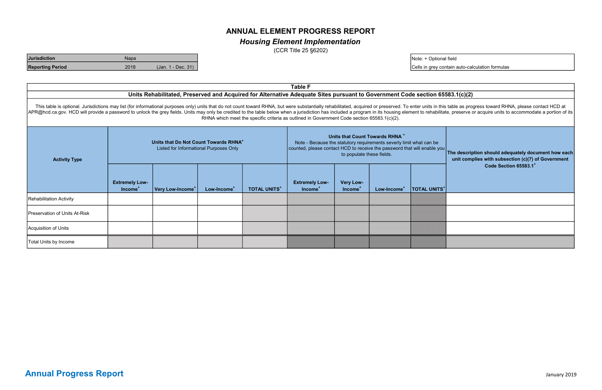This table is optional. Jurisdictions may list (for informational purposes only) units that do not count toward RHNA, but were substantially rehabilitated, acquired or preserved. To enter units in this table as progress to APR@hcd.ca.gov. HCD will provide a password to unlock the grey fields. Units may only be credited to the table below when a jurisdiction has included a program in its housing element to rehabilitate, preserve or acquire un RHNA which meet the specific criteria as outlined in Government Code section 65583.1(c)(2).

| Units that Do Not Count Towards RHNA <sup>+</sup><br>Listed for Informational Purposes Only<br><b>Activity Type</b> |                                              | Units that Count Towards RHNA <sup>+</sup><br>Note - Because the statutory requirements severly limit what can be<br>counted, please contact HCD to receive the password that will enable you<br>to populate these fields. |                         |                     | The description should adequately document how each<br>unit complies with subsection (c)(7) of Government<br>Code Section 65583.1 |                                         |                         |                                 |  |
|---------------------------------------------------------------------------------------------------------------------|----------------------------------------------|----------------------------------------------------------------------------------------------------------------------------------------------------------------------------------------------------------------------------|-------------------------|---------------------|-----------------------------------------------------------------------------------------------------------------------------------|-----------------------------------------|-------------------------|---------------------------------|--|
|                                                                                                                     | <b>Extremely Low-</b><br>Income <sup>+</sup> | Very Low-Income <sup>+</sup>                                                                                                                                                                                               | Low-Income <sup>+</sup> | <b>TOTAL UNITS*</b> | <b>Extremely Low-</b><br>Income <sup>+</sup>                                                                                      | <b>Very Low-</b><br>Income <sup>+</sup> | Low-Income <sup>+</sup> | <b>TOTAL UNITS</b> <sup>+</sup> |  |
| Rehabilitation Activity                                                                                             |                                              |                                                                                                                                                                                                                            |                         |                     |                                                                                                                                   |                                         |                         |                                 |  |
| Preservation of Units At-Risk                                                                                       |                                              |                                                                                                                                                                                                                            |                         |                     |                                                                                                                                   |                                         |                         |                                 |  |
| Acquisition of Units                                                                                                |                                              |                                                                                                                                                                                                                            |                         |                     |                                                                                                                                   |                                         |                         |                                 |  |
| Total Units by Income                                                                                               |                                              |                                                                                                                                                                                                                            |                         |                     |                                                                                                                                   |                                         |                         |                                 |  |

## Housing Element Implementation

## ANNUAL ELEMENT PROGRESS REPORT

(CCR Title 25 §6202)

### Units Rehabilitated, Preserved and Acquired for Alternative Adequate Sites pursuant to Government Code section 65583.1(c)(2)

Note: + Optional field

Cells in grey contain auto-calculation formulas

| <b>Jurisdiction</b>     | Napa |                    |
|-------------------------|------|--------------------|
| <b>Reporting Period</b> | 2018 | (Jan. 1 - Dec. 31) |

Table F